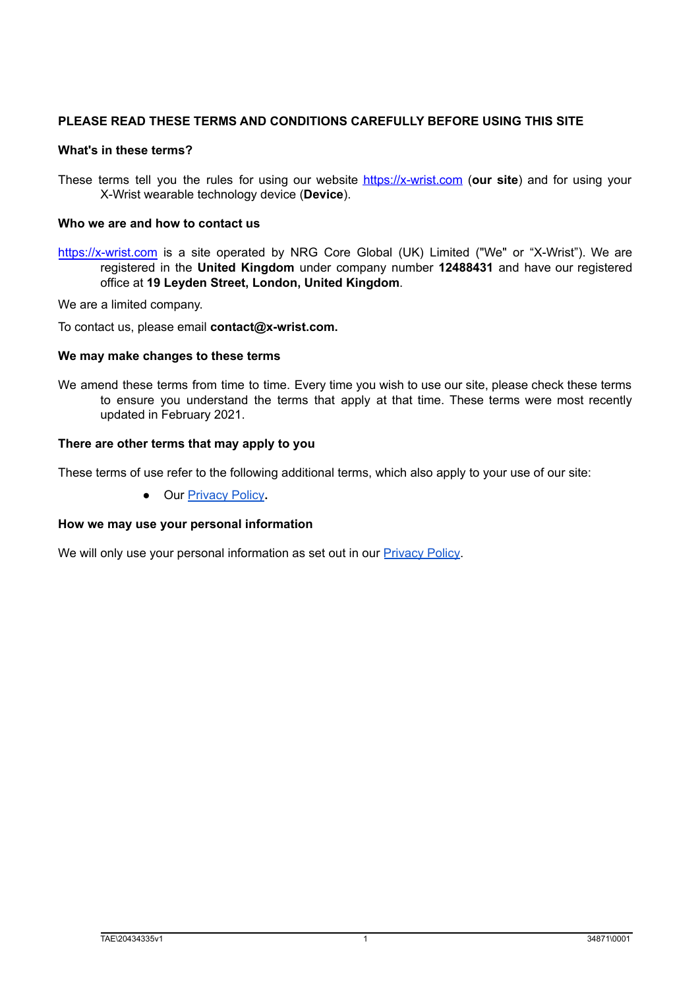### **PLEASE READ THESE TERMS AND CONDITIONS CAREFULLY BEFORE USING THIS SITE**

### **What's in these terms?**

These terms tell you the rules for using our website [https://x-wrist.com](https://x-wrist.com/) (**our site**) and for using your X-Wrist wearable technology device (**Device**).

#### **Who we are and how to contact us**

[https://x-wrist.com](https://x-wrist.com/) is a site operated by NRG Core Global (UK) Limited ("We" or "X-Wrist"). We are registered in the **United Kingdom** under company number **12488431** and have our registered office at **19 Leyden Street, London, United Kingdom**.

We are a limited company.

To contact us, please email **contact@x-wrist.com.**

#### **We may make changes to these terms**

We amend these terms from time to time. Every time you wish to use our site, please check these terms to ensure you understand the terms that apply at that time. These terms were most recently updated in February 2021.

#### **There are other terms that may apply to you**

These terms of use refer to the following additional terms, which also apply to your use of our site:

● Our [Privacy Policy](https://assets.x-wrist.com/Privacy_Policy.pdf)**.**

#### **How we may use your personal information**

We will only use your personal information as set out in our [Privacy Policy.](https://assets.x-wrist.com/Privacy_Policy.pdf)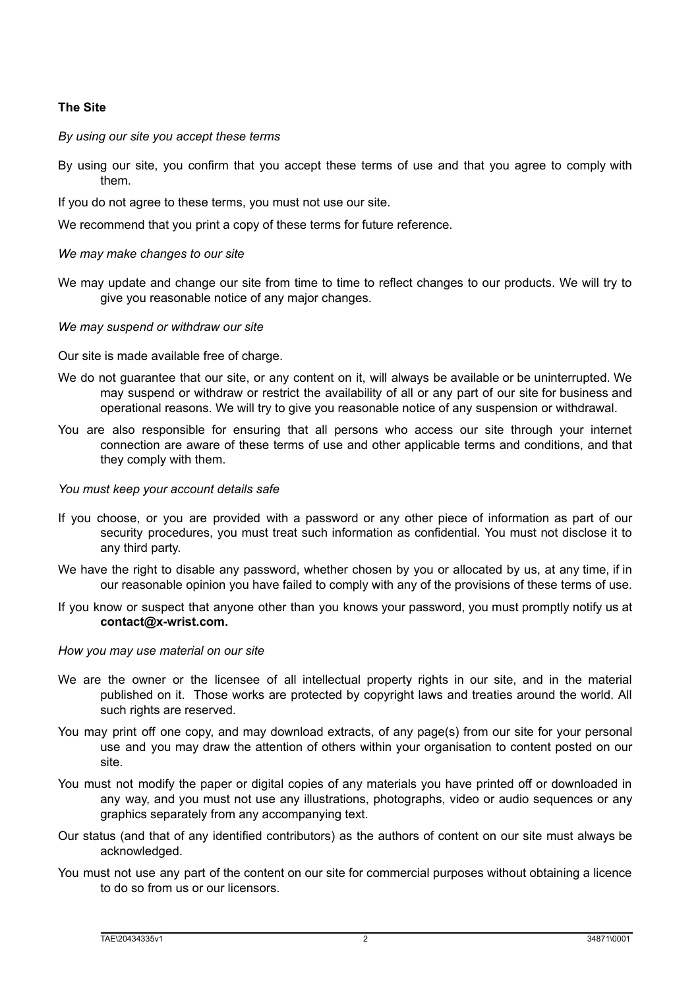### **The Site**

*By using our site you accept these terms*

- By using our site, you confirm that you accept these terms of use and that you agree to comply with them.
- If you do not agree to these terms, you must not use our site.
- We recommend that you print a copy of these terms for future reference.

### *We may make changes to our site*

- We may update and change our site from time to time to reflect changes to our products. We will try to give you reasonable notice of any major changes.
- *We may suspend or withdraw our site*

Our site is made available free of charge.

- We do not guarantee that our site, or any content on it, will always be available or be uninterrupted. We may suspend or withdraw or restrict the availability of all or any part of our site for business and operational reasons. We will try to give you reasonable notice of any suspension or withdrawal.
- You are also responsible for ensuring that all persons who access our site through your internet connection are aware of these terms of use and other applicable terms and conditions, and that they comply with them.

### *You must keep your account details safe*

- If you choose, or you are provided with a password or any other piece of information as part of our security procedures, you must treat such information as confidential. You must not disclose it to any third party.
- We have the right to disable any password, whether chosen by you or allocated by us, at any time, if in our reasonable opinion you have failed to comply with any of the provisions of these terms of use.
- If you know or suspect that anyone other than you knows your password, you must promptly notify us at **contact@x-wrist.com.**

#### *How you may use material on our site*

- We are the owner or the licensee of all intellectual property rights in our site, and in the material published on it. Those works are protected by copyright laws and treaties around the world. All such rights are reserved.
- You may print off one copy, and may download extracts, of any page(s) from our site for your personal use and you may draw the attention of others within your organisation to content posted on our site.
- You must not modify the paper or digital copies of any materials you have printed off or downloaded in any way, and you must not use any illustrations, photographs, video or audio sequences or any graphics separately from any accompanying text.
- Our status (and that of any identified contributors) as the authors of content on our site must always be acknowledged.
- You must not use any part of the content on our site for commercial purposes without obtaining a licence to do so from us or our licensors.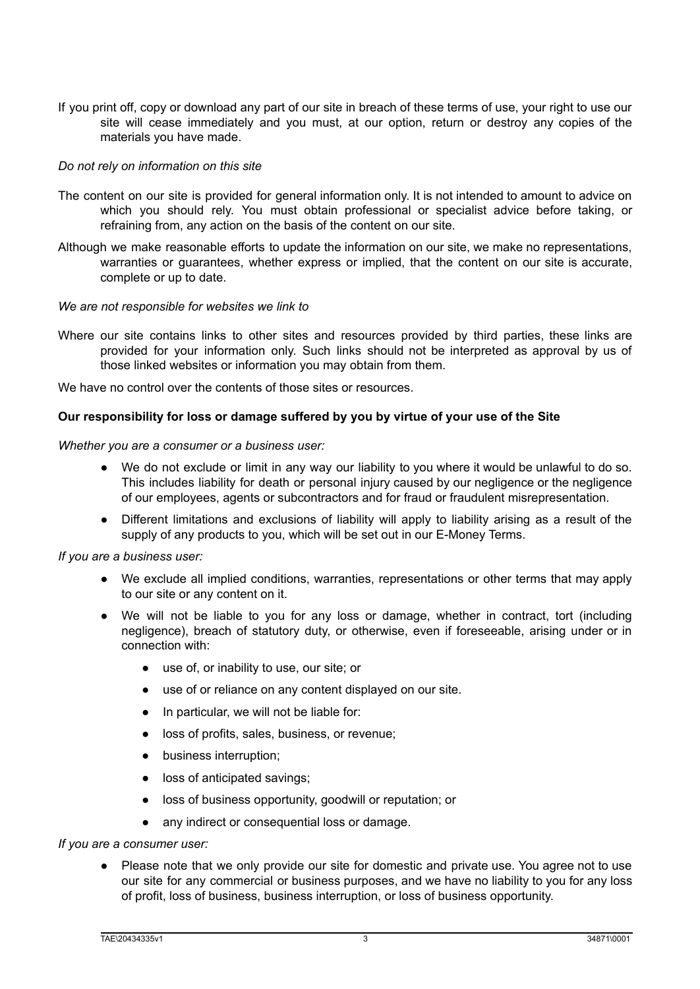If you print off, copy or download any part of our site in breach of these terms of use, your right to use our site will cease immediately and you must, at our option, return or destroy any copies of the materials you have made.

#### *Do not rely on information on this site*

- The content on our site is provided for general information only. It is not intended to amount to advice on which you should rely. You must obtain professional or specialist advice before taking, or refraining from, any action on the basis of the content on our site.
- Although we make reasonable efforts to update the information on our site, we make no representations, warranties or guarantees, whether express or implied, that the content on our site is accurate, complete or up to date.

### *We are not responsible for websites we link to*

Where our site contains links to other sites and resources provided by third parties, these links are provided for your information only. Such links should not be interpreted as approval by us of those linked websites or information you may obtain from them.

We have no control over the contents of those sites or resources.

### **Our responsibility for loss or damage suffered by you by virtue of your use of the Site**

*Whether you are a consumer or a business user:*

- We do not exclude or limit in any way our liability to you where it would be unlawful to do so. This includes liability for death or personal injury caused by our negligence or the negligence of our employees, agents or subcontractors and for fraud or fraudulent misrepresentation.
- Different limitations and exclusions of liability will apply to liability arising as a result of the supply of any products to you, which will be set out in our E-Money Terms.

*If you are a business user:*

- We exclude all implied conditions, warranties, representations or other terms that may apply to our site or any content on it.
- We will not be liable to you for any loss or damage, whether in contract, tort (including negligence), breach of statutory duty, or otherwise, even if foreseeable, arising under or in connection with:
	- use of, or inability to use, our site; or
	- use of or reliance on any content displayed on our site.
	- In particular, we will not be liable for:
	- loss of profits, sales, business, or revenue;
	- business interruption;
	- loss of anticipated savings;
	- loss of business opportunity, goodwill or reputation; or
	- any indirect or consequential loss or damage.

*If you are a consumer user:*

Please note that we only provide our site for domestic and private use. You agree not to use our site for any commercial or business purposes, and we have no liability to you for any loss of profit, loss of business, business interruption, or loss of business opportunity.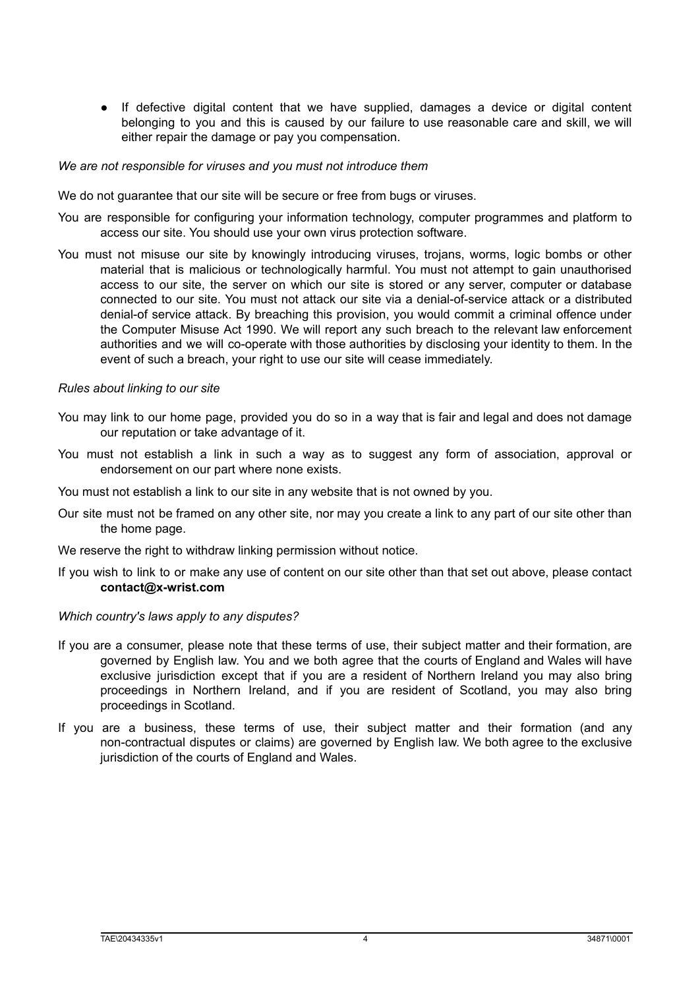● If defective digital content that we have supplied, damages a device or digital content belonging to you and this is caused by our failure to use reasonable care and skill, we will either repair the damage or pay you compensation.

#### *We are not responsible for viruses and you must not introduce them*

We do not quarantee that our site will be secure or free from bugs or viruses.

- You are responsible for configuring your information technology, computer programmes and platform to access our site. You should use your own virus protection software.
- You must not misuse our site by knowingly introducing viruses, trojans, worms, logic bombs or other material that is malicious or technologically harmful. You must not attempt to gain unauthorised access to our site, the server on which our site is stored or any server, computer or database connected to our site. You must not attack our site via a denial-of-service attack or a distributed denial-of service attack. By breaching this provision, you would commit a criminal offence under the Computer Misuse Act 1990. We will report any such breach to the relevant law enforcement authorities and we will co-operate with those authorities by disclosing your identity to them. In the event of such a breach, your right to use our site will cease immediately.

#### *Rules about linking to our site*

- You may link to our home page, provided you do so in a way that is fair and legal and does not damage our reputation or take advantage of it.
- You must not establish a link in such a way as to suggest any form of association, approval or endorsement on our part where none exists.
- You must not establish a link to our site in any website that is not owned by you.
- Our site must not be framed on any other site, nor may you create a link to any part of our site other than the home page.
- We reserve the right to withdraw linking permission without notice.
- If you wish to link to or make any use of content on our site other than that set out above, please contact **contact@x-wrist.com**

#### *Which country's laws apply to any disputes?*

- If you are a consumer, please note that these terms of use, their subject matter and their formation, are governed by English law. You and we both agree that the courts of England and Wales will have exclusive jurisdiction except that if you are a resident of Northern Ireland you may also bring proceedings in Northern Ireland, and if you are resident of Scotland, you may also bring proceedings in Scotland.
- If you are a business, these terms of use, their subject matter and their formation (and any non-contractual disputes or claims) are governed by English law. We both agree to the exclusive jurisdiction of the courts of England and Wales.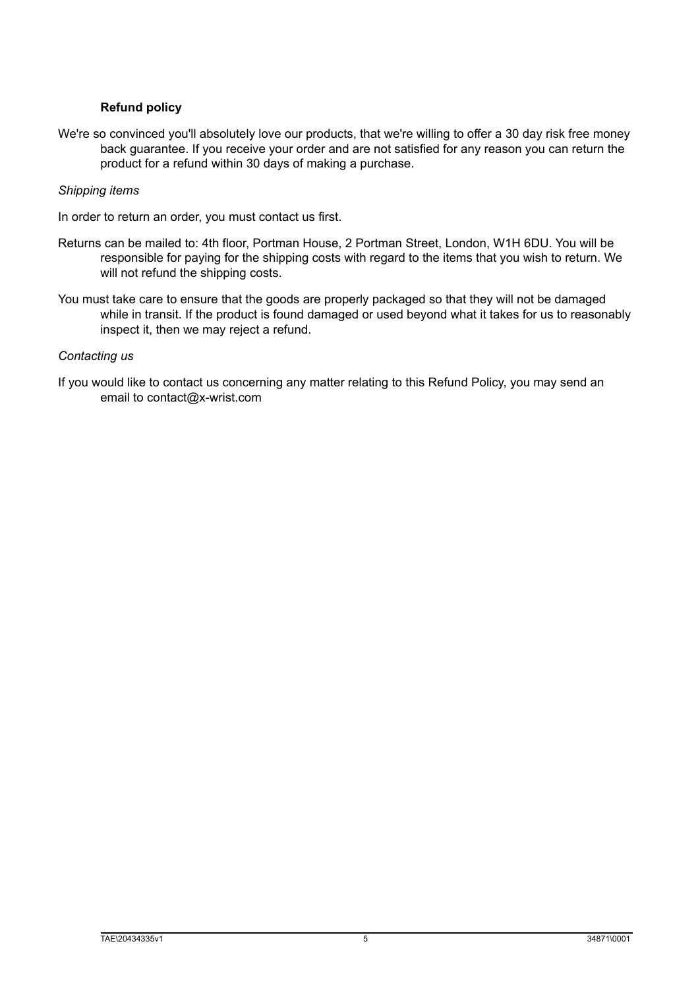### **Refund policy**

We're so convinced you'll absolutely love our products, that we're willing to offer a 30 day risk free money back guarantee. If you receive your order and are not satisfied for any reason you can return the product for a refund within 30 days of making a purchase.

### *Shipping items*

In order to return an order, you must contact us first.

- Returns can be mailed to: 4th floor, Portman House, 2 Portman Street, London, W1H 6DU. You will be responsible for paying for the shipping costs with regard to the items that you wish to return. We will not refund the shipping costs.
- You must take care to ensure that the goods are properly packaged so that they will not be damaged while in transit. If the product is found damaged or used beyond what it takes for us to reasonably inspect it, then we may reject a refund.

### *Contacting us*

If you would like to contact us concerning any matter relating to this Refund Policy, you may send an email to contact@x-wrist.com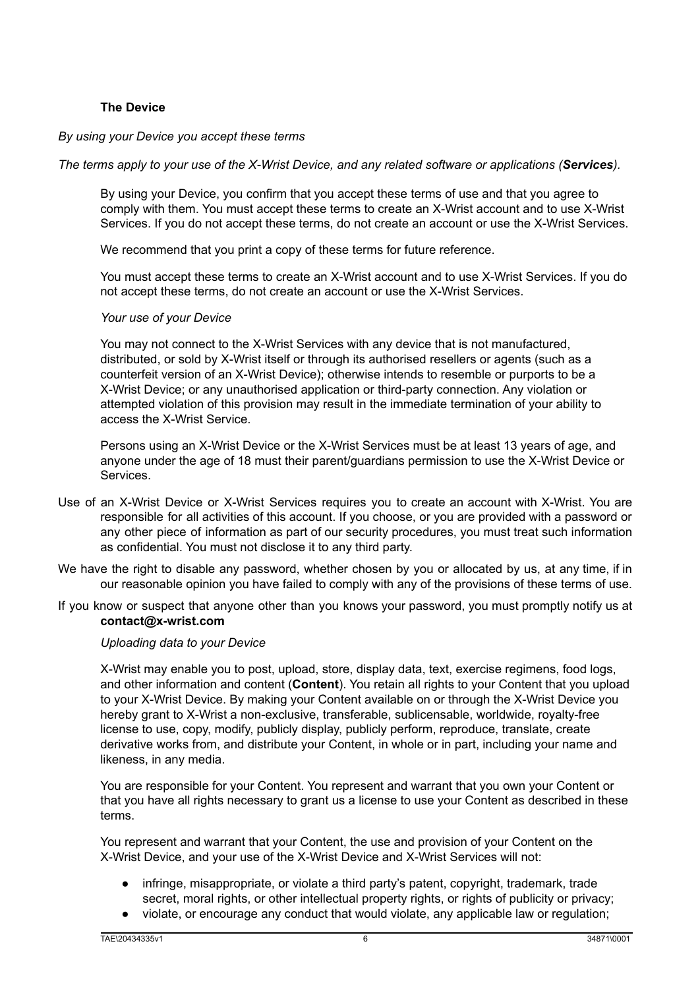### **The Device**

#### *By using your Device you accept these terms*

*The terms apply to your use of the X-Wrist Device, and any related software or applications (Services).*

By using your Device, you confirm that you accept these terms of use and that you agree to comply with them. You must accept these terms to create an X-Wrist account and to use X-Wrist Services. If you do not accept these terms, do not create an account or use the X-Wrist Services.

We recommend that you print a copy of these terms for future reference.

You must accept these terms to create an X-Wrist account and to use X-Wrist Services. If you do not accept these terms, do not create an account or use the X-Wrist Services.

#### *Your use of your Device*

You may not connect to the X-Wrist Services with any device that is not manufactured, distributed, or sold by X-Wrist itself or through its authorised resellers or agents (such as a counterfeit version of an X-Wrist Device); otherwise intends to resemble or purports to be a X-Wrist Device; or any unauthorised application or third-party connection. Any violation or attempted violation of this provision may result in the immediate termination of your ability to access the X-Wrist Service.

Persons using an X-Wrist Device or the X-Wrist Services must be at least 13 years of age, and anyone under the age of 18 must their parent/guardians permission to use the X-Wrist Device or **Services** 

- Use of an X-Wrist Device or X-Wrist Services requires you to create an account with X-Wrist. You are responsible for all activities of this account. If you choose, or you are provided with a password or any other piece of information as part of our security procedures, you must treat such information as confidential. You must not disclose it to any third party.
- We have the right to disable any password, whether chosen by you or allocated by us, at any time, if in our reasonable opinion you have failed to comply with any of the provisions of these terms of use.
- If you know or suspect that anyone other than you knows your password, you must promptly notify us at **contact@x-wrist.com**

### *Uploading data to your Device*

X-Wrist may enable you to post, upload, store, display data, text, exercise regimens, food logs, and other information and content (**Content**). You retain all rights to your Content that you upload to your X-Wrist Device. By making your Content available on or through the X-Wrist Device you hereby grant to X-Wrist a non-exclusive, transferable, sublicensable, worldwide, royalty-free license to use, copy, modify, publicly display, publicly perform, reproduce, translate, create derivative works from, and distribute your Content, in whole or in part, including your name and likeness, in any media.

You are responsible for your Content. You represent and warrant that you own your Content or that you have all rights necessary to grant us a license to use your Content as described in these terms.

You represent and warrant that your Content, the use and provision of your Content on the X-Wrist Device, and your use of the X-Wrist Device and X-Wrist Services will not:

- infringe, misappropriate, or violate a third party's patent, copyright, trademark, trade secret, moral rights, or other intellectual property rights, or rights of publicity or privacy;
- violate, or encourage any conduct that would violate, any applicable law or regulation;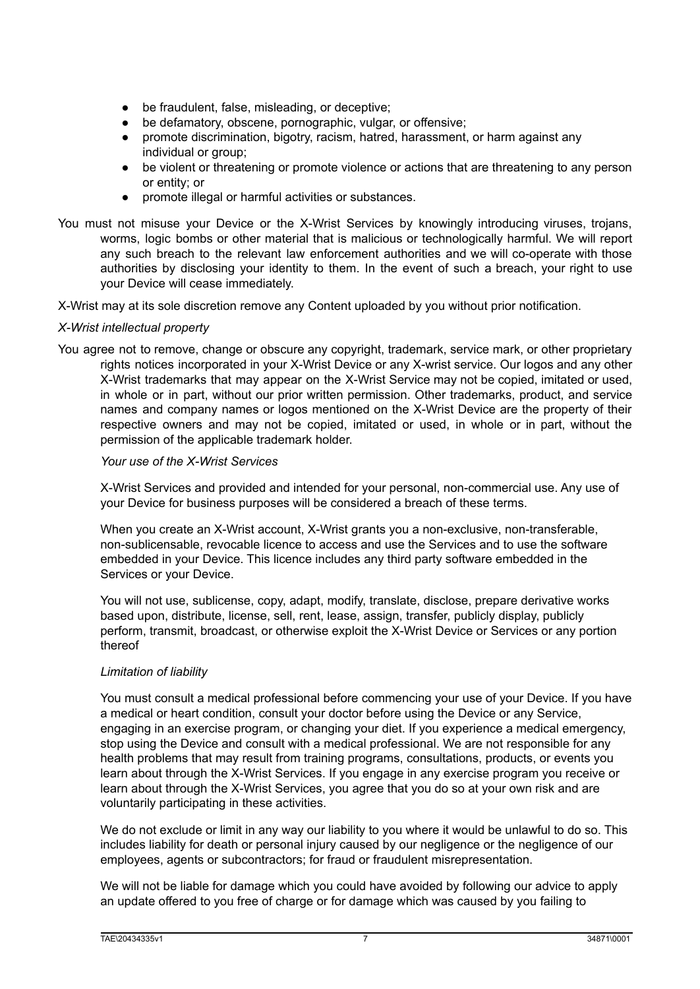- be fraudulent, false, misleading, or deceptive;
- be defamatory, obscene, pornographic, vulgar, or offensive;
- promote discrimination, bigotry, racism, hatred, harassment, or harm against any individual or group:
- be violent or threatening or promote violence or actions that are threatening to any person or entity; or
- promote illegal or harmful activities or substances.
- You must not misuse your Device or the X-Wrist Services by knowingly introducing viruses, trojans, worms, logic bombs or other material that is malicious or technologically harmful. We will report any such breach to the relevant law enforcement authorities and we will co-operate with those authorities by disclosing your identity to them. In the event of such a breach, your right to use your Device will cease immediately.

X-Wrist may at its sole discretion remove any Content uploaded by you without prior notification.

### *X-Wrist intellectual property*

You agree not to remove, change or obscure any copyright, trademark, service mark, or other proprietary rights notices incorporated in your X-Wrist Device or any X-wrist service. Our logos and any other X-Wrist trademarks that may appear on the X-Wrist Service may not be copied, imitated or used, in whole or in part, without our prior written permission. Other trademarks, product, and service names and company names or logos mentioned on the X-Wrist Device are the property of their respective owners and may not be copied, imitated or used, in whole or in part, without the permission of the applicable trademark holder.

### *Your use of the X-Wrist Services*

X-Wrist Services and provided and intended for your personal, non-commercial use. Any use of your Device for business purposes will be considered a breach of these terms.

When you create an X-Wrist account, X-Wrist grants you a non-exclusive, non-transferable, non-sublicensable, revocable licence to access and use the Services and to use the software embedded in your Device. This licence includes any third party software embedded in the Services or your Device.

You will not use, sublicense, copy, adapt, modify, translate, disclose, prepare derivative works based upon, distribute, license, sell, rent, lease, assign, transfer, publicly display, publicly perform, transmit, broadcast, or otherwise exploit the X-Wrist Device or Services or any portion thereof

### *Limitation of liability*

You must consult a medical professional before commencing your use of your Device. If you have a medical or heart condition, consult your doctor before using the Device or any Service, engaging in an exercise program, or changing your diet. If you experience a medical emergency, stop using the Device and consult with a medical professional. We are not responsible for any health problems that may result from training programs, consultations, products, or events you learn about through the X-Wrist Services. If you engage in any exercise program you receive or learn about through the X-Wrist Services, you agree that you do so at your own risk and are voluntarily participating in these activities.

We do not exclude or limit in any way our liability to you where it would be unlawful to do so. This includes liability for death or personal injury caused by our negligence or the negligence of our employees, agents or subcontractors; for fraud or fraudulent misrepresentation.

We will not be liable for damage which you could have avoided by following our advice to apply an update offered to you free of charge or for damage which was caused by you failing to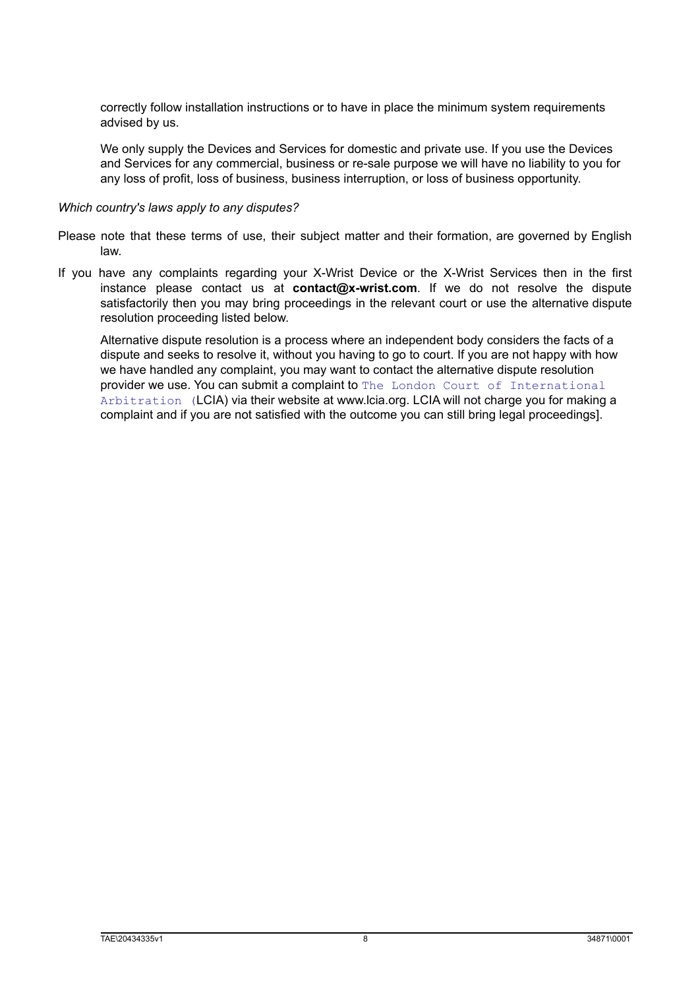correctly follow installation instructions or to have in place the minimum system requirements advised by us.

We only supply the Devices and Services for domestic and private use. If you use the Devices and Services for any commercial, business or re-sale purpose we will have no liability to you for any loss of profit, loss of business, business interruption, or loss of business opportunity.

#### *Which country's laws apply to any disputes?*

- Please note that these terms of use, their subject matter and their formation, are governed by English law.
- If you have any complaints regarding your X-Wrist Device or the X-Wrist Services then in the first instance please contact us at **contact@x-wrist.com**. If we do not resolve the dispute satisfactorily then you may bring proceedings in the relevant court or use the alternative dispute resolution proceeding listed below.

Alternative dispute resolution is a process where an independent body considers the facts of a dispute and seeks to resolve it, without you having to go to court. If you are not happy with how we have handled any complaint, you may want to contact the alternative dispute resolution provider we use. You can submit a complaint to The London Court of International Arbitration (LCIA) via their website at www.lcia.org. LCIA will not charge you for making a complaint and if you are not satisfied with the outcome you can still bring legal proceedings].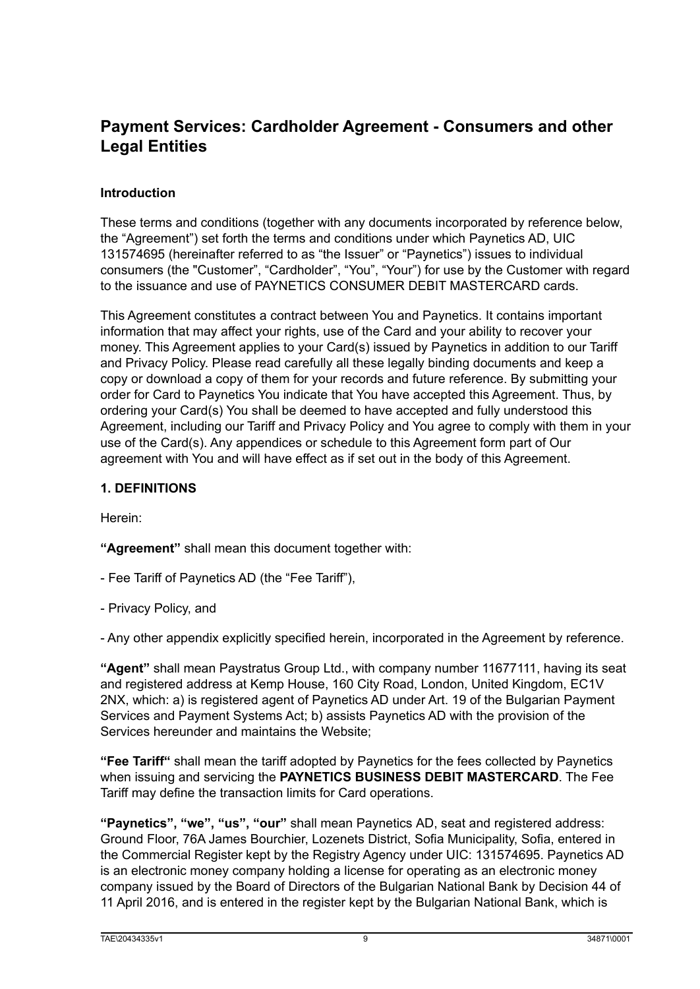# **Payment Services: Cardholder Agreement - Consumers and other Legal Entities**

# **Introduction**

These terms and conditions (together with any documents incorporated by reference below, the "Agreement") set forth the terms and conditions under which Paynetics AD, UIC 131574695 (hereinafter referred to as "the Issuer" or "Paynetics") issues to individual consumers (the "Customer", "Cardholder", "You", "Your") for use by the Customer with regard to the issuance and use of PAYNETICS CONSUMER DEBIT MASTERCARD cards.

This Agreement constitutes a contract between You and Paynetics. It contains important information that may affect your rights, use of the Card and your ability to recover your money. This Agreement applies to your Card(s) issued by Paynetics in addition to our Tariff and Privacy Policy. Please read carefully all these legally binding documents and keep a copy or download a copy of them for your records and future reference. By submitting your order for Card to Paynetics You indicate that You have accepted this Agreement. Thus, by ordering your Card(s) You shall be deemed to have accepted and fully understood this Agreement, including our Tariff and Privacy Policy and You agree to comply with them in your use of the Card(s). Any appendices or schedule to this Agreement form part of Our agreement with You and will have effect as if set out in the body of this Agreement.

# **1. DEFINITIONS**

Herein:

**"Agreement"** shall mean this document together with:

- Fee Tariff of Paynetics AD (the "Fee Tariff"),
- Privacy Policy, and

- Any other appendix explicitly specified herein, incorporated in the Agreement by reference.

**"Agent"** shall mean Paystratus Group Ltd., with company number 11677111, having its seat and registered address at Kemp House, 160 City Road, London, United Kingdom, EC1V 2NX, which: a) is registered agent of Paynetics AD under Art. 19 of the Bulgarian Payment Services and Payment Systems Act; b) assists Paynetics AD with the provision of the Services hereunder and maintains the Website;

**"Fee Tariff"** shall mean the tariff adopted by Paynetics for the fees collected by Paynetics when issuing and servicing the **PAYNETICS BUSINESS DEBIT MASTERCARD**. The Fee Tariff may define the transaction limits for Card operations.

**"Paynetics", "we", "us", "our"** shall mean Paynetics AD, seat and registered address: Ground Floor, 76A James Bourchier, Lozenets District, Sofia Municipality, Sofia, entered in the Commercial Register kept by the Registry Agency under UIC: 131574695. Paynetics AD is an electronic money company holding a license for operating as an electronic money company issued by the Board of Directors of the Bulgarian National Bank by Decision 44 of 11 April 2016, and is entered in the register kept by the Bulgarian National Bank, which is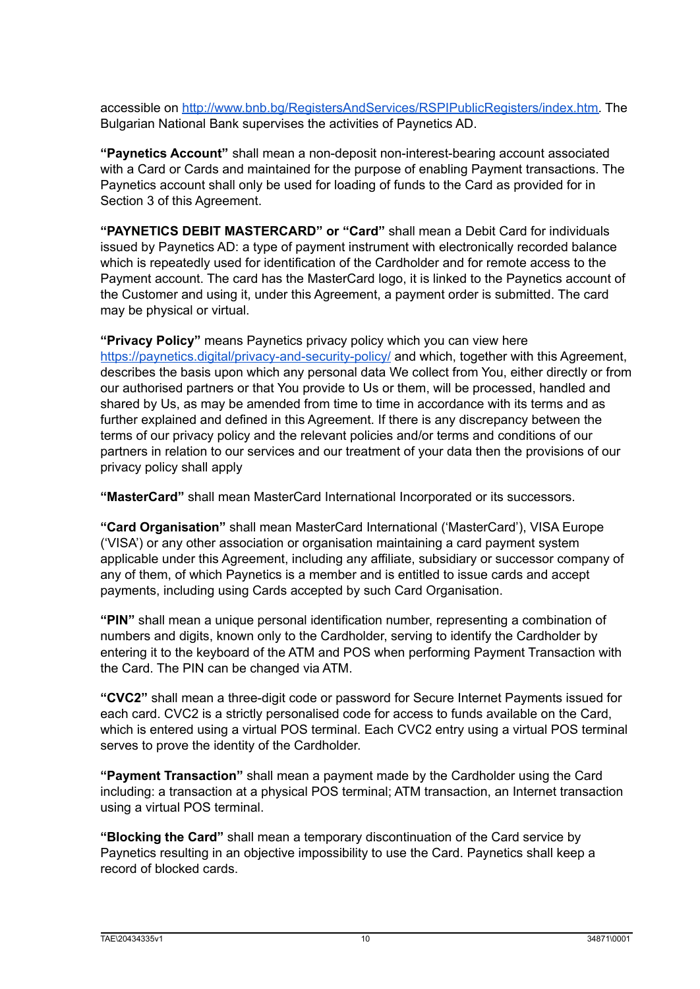accessible on [http://www.bnb.bg/RegistersAndServices/RSPIPublicRegisters/index.htm.](http://www.bnb.bg/RegistersAndServices/RSPIPublicRegisters/index.htm) The Bulgarian National Bank supervises the activities of Paynetics AD.

**"Paynetics Account"** shall mean a non-deposit non-interest-bearing account associated with a Card or Cards and maintained for the purpose of enabling Payment transactions. The Paynetics account shall only be used for loading of funds to the Card as provided for in Section 3 of this Agreement.

**"PAYNETICS DEBIT MASTERCARD" or "Card"** shall mean a Debit Card for individuals issued by Paynetics AD: a type of payment instrument with electronically recorded balance which is repeatedly used for identification of the Cardholder and for remote access to the Payment account. The card has the MasterCard logo, it is linked to the Paynetics account of the Customer and using it, under this Agreement, a payment order is submitted. The card may be physical or virtual.

**"Privacy Policy"** means Paynetics privacy policy which you can view here <https://paynetics.digital/privacy-and-security-policy/> and which, together with this Agreement, describes the basis upon which any personal data We collect from You, either directly or from our authorised partners or that You provide to Us or them, will be processed, handled and shared by Us, as may be amended from time to time in accordance with its terms and as further explained and defined in this Agreement. If there is any discrepancy between the terms of our privacy policy and the relevant policies and/or terms and conditions of our partners in relation to our services and our treatment of your data then the provisions of our privacy policy shall apply

**"MasterCard"** shall mean MasterCard International Incorporated or its successors.

**"Card Organisation"** shall mean MasterCard International ('MasterCard'), VISA Europe ('VISA') or any other association or organisation maintaining a card payment system applicable under this Agreement, including any affiliate, subsidiary or successor company of any of them, of which Paynetics is a member and is entitled to issue cards and accept payments, including using Cards accepted by such Card Organisation.

**"PIN"** shall mean a unique personal identification number, representing a combination of numbers and digits, known only to the Cardholder, serving to identify the Cardholder by entering it to the keyboard of the ATM and POS when performing Payment Transaction with the Card. The PIN can be changed via ATM.

**"CVC2"** shall mean a three-digit code or password for Secure Internet Payments issued for each card. CVC2 is a strictly personalised code for access to funds available on the Card, which is entered using a virtual POS terminal. Each CVC2 entry using a virtual POS terminal serves to prove the identity of the Cardholder.

**"Payment Transaction"** shall mean a payment made by the Cardholder using the Card including: a transaction at a physical POS terminal; ATM transaction, an Internet transaction using a virtual POS terminal.

**"Blocking the Card"** shall mean a temporary discontinuation of the Card service by Paynetics resulting in an objective impossibility to use the Card. Paynetics shall keep a record of blocked cards.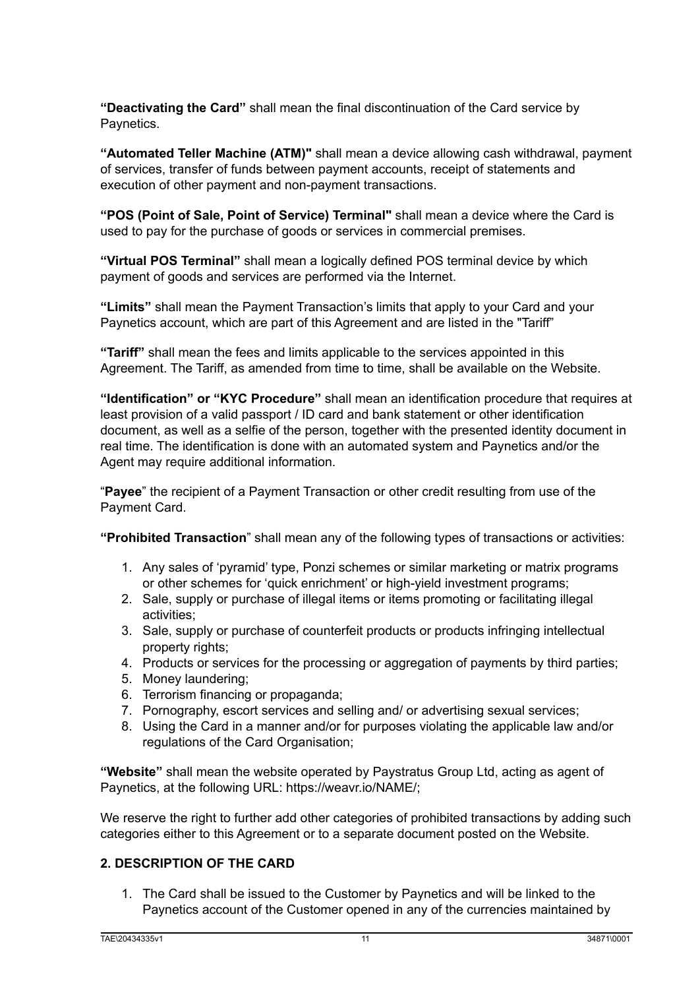**"Deactivating the Card"** shall mean the final discontinuation of the Card service by Paynetics.

**"Automated Teller Machine (ATM)"** shall mean a device allowing cash withdrawal, payment of services, transfer of funds between payment accounts, receipt of statements and execution of other payment and non-payment transactions.

**"POS (Point of Sale, Point of Service) Terminal"** shall mean a device where the Card is used to pay for the purchase of goods or services in commercial premises.

**"Virtual POS Terminal"** shall mean a logically defined POS terminal device by which payment of goods and services are performed via the Internet.

**"Limits"** shall mean the Payment Transaction's limits that apply to your Card and your Paynetics account, which are part of this Agreement and are listed in the "Tariff"

**"Tariff"** shall mean the fees and limits applicable to the services appointed in this Agreement. The Tariff, as amended from time to time, shall be available on the Website.

**"Identification" or "KYC Procedure"** shall mean an identification procedure that requires at least provision of a valid passport / ID card and bank statement or other identification document, as well as a selfie of the person, together with the presented identity document in real time. The identification is done with an automated system and Paynetics and/or the Agent may require additional information.

"**Payee**" the recipient of a Payment Transaction or other credit resulting from use of the Payment Card.

**"Prohibited Transaction**" shall mean any of the following types of transactions or activities:

- 1. Any sales of 'pyramid' type, Ponzi schemes or similar marketing or matrix programs or other schemes for 'quick enrichment' or high-yield investment programs;
- 2. Sale, supply or purchase of illegal items or items promoting or facilitating illegal activities;
- 3. Sale, supply or purchase of counterfeit products or products infringing intellectual property rights;
- 4. Products or services for the processing or aggregation of payments by third parties;
- 5. Money laundering;
- 6. Terrorism financing or propaganda;
- 7. Pornography, escort services and selling and/ or advertising sexual services;
- 8. Using the Card in a manner and/or for purposes violating the applicable law and/or regulations of the Card Organisation;

**"Website"** shall mean the website operated by Paystratus Group Ltd, acting as agent of Paynetics, at the following URL: https://weavr.io/NAME/;

We reserve the right to further add other categories of prohibited transactions by adding such categories either to this Agreement or to a separate document posted on the Website.

### **2. DESCRIPTION OF THE CARD**

1. The Card shall be issued to the Customer by Paynetics and will be linked to the Paynetics account of the Customer opened in any of the currencies maintained by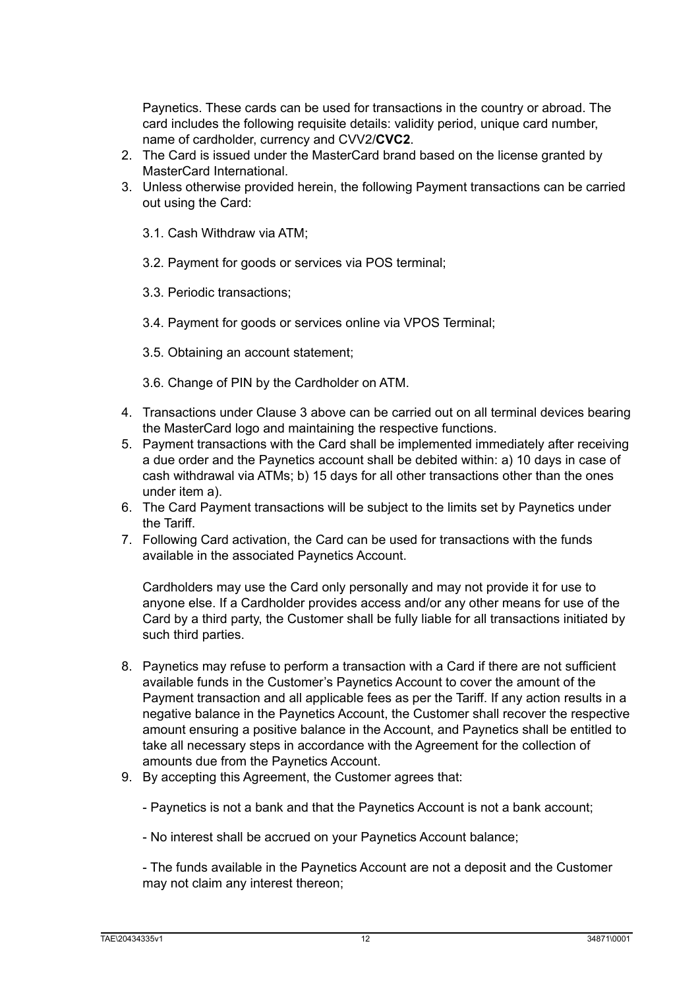Paynetics. These cards can be used for transactions in the country or abroad. The card includes the following requisite details: validity period, unique card number, name of cardholder, currency and CVV2/**CVC2**.

- 2. The Card is issued under the MasterCard brand based on the license granted by MasterCard International.
- 3. Unless otherwise provided herein, the following Payment transactions can be carried out using the Card:
	- 3.1. Cash Withdraw via ATM;
	- 3.2. Payment for goods or services via POS terminal;
	- 3.3. Periodic transactions;
	- 3.4. Payment for goods or services online via VPOS Terminal;
	- 3.5. Obtaining an account statement;
	- 3.6. Change of PIN by the Cardholder on ATM.
- 4. Transactions under Clause 3 above can be carried out on all terminal devices bearing the MasterCard logo and maintaining the respective functions.
- 5. Payment transactions with the Card shall be implemented immediately after receiving a due order and the Paynetics account shall be debited within: a) 10 days in case of cash withdrawal via ATMs; b) 15 days for all other transactions other than the ones under item a).
- 6. The Card Payment transactions will be subject to the limits set by Paynetics under the Tariff.
- 7. Following Card activation, the Card can be used for transactions with the funds available in the associated Paynetics Account.

Cardholders may use the Card only personally and may not provide it for use to anyone else. If a Cardholder provides access and/or any other means for use of the Card by a third party, the Customer shall be fully liable for all transactions initiated by such third parties.

- 8. Paynetics may refuse to perform a transaction with a Card if there are not sufficient available funds in the Customer's Paynetics Account to cover the amount of the Payment transaction and all applicable fees as per the Tariff. If any action results in a negative balance in the Paynetics Account, the Customer shall recover the respective amount ensuring a positive balance in the Account, and Paynetics shall be entitled to take all necessary steps in accordance with the Agreement for the collection of amounts due from the Paynetics Account.
- 9. By accepting this Agreement, the Customer agrees that:

- Paynetics is not a bank and that the Paynetics Account is not a bank account;

- No interest shall be accrued on your Paynetics Account balance;

- The funds available in the Paynetics Account are not a deposit and the Customer may not claim any interest thereon;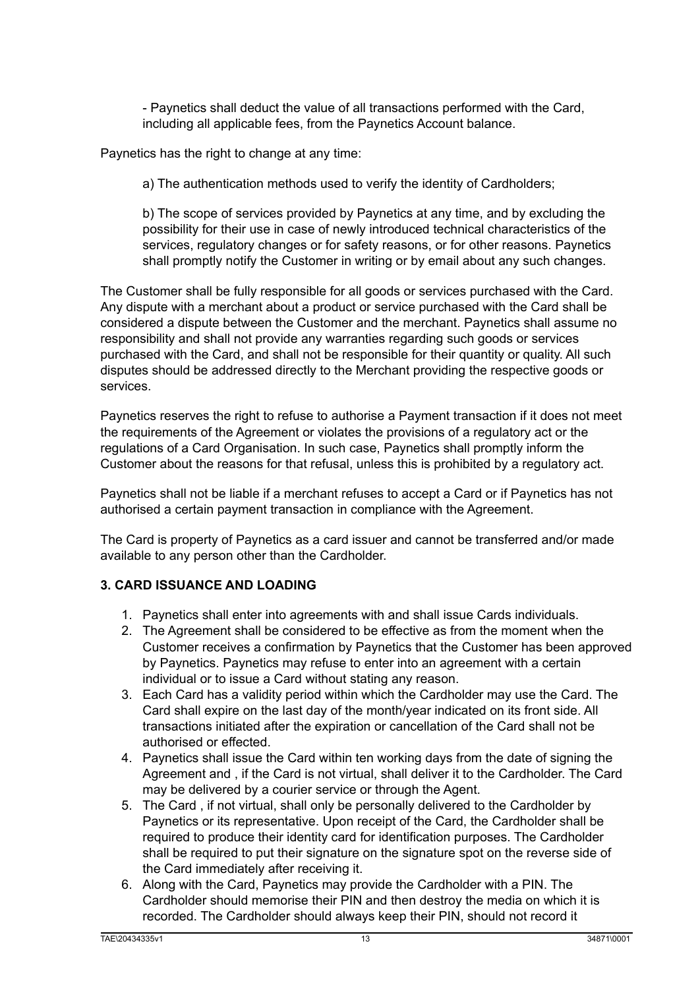- Paynetics shall deduct the value of all transactions performed with the Card, including all applicable fees, from the Paynetics Account balance.

Paynetics has the right to change at any time:

a) The authentication methods used to verify the identity of Cardholders;

b) The scope of services provided by Paynetics at any time, and by excluding the possibility for their use in case of newly introduced technical characteristics of the services, regulatory changes or for safety reasons, or for other reasons. Paynetics shall promptly notify the Customer in writing or by email about any such changes.

The Customer shall be fully responsible for all goods or services purchased with the Card. Any dispute with a merchant about a product or service purchased with the Card shall be considered a dispute between the Customer and the merchant. Paynetics shall assume no responsibility and shall not provide any warranties regarding such goods or services purchased with the Card, and shall not be responsible for their quantity or quality. All such disputes should be addressed directly to the Merchant providing the respective goods or services.

Paynetics reserves the right to refuse to authorise a Payment transaction if it does not meet the requirements of the Agreement or violates the provisions of a regulatory act or the regulations of a Card Organisation. In such case, Paynetics shall promptly inform the Customer about the reasons for that refusal, unless this is prohibited by a regulatory act.

Paynetics shall not be liable if a merchant refuses to accept a Card or if Paynetics has not authorised a certain payment transaction in compliance with the Agreement.

The Card is property of Paynetics as a card issuer and cannot be transferred and/or made available to any person other than the Cardholder.

# **3. CARD ISSUANCE AND LOADING**

- 1. Paynetics shall enter into agreements with and shall issue Cards individuals.
- 2. The Agreement shall be considered to be effective as from the moment when the Customer receives a confirmation by Paynetics that the Customer has been approved by Paynetics. Paynetics may refuse to enter into an agreement with a certain individual or to issue a Card without stating any reason.
- 3. Each Card has a validity period within which the Cardholder may use the Card. The Card shall expire on the last day of the month/year indicated on its front side. All transactions initiated after the expiration or cancellation of the Card shall not be authorised or effected.
- 4. Paynetics shall issue the Card within ten working days from the date of signing the Agreement and , if the Card is not virtual, shall deliver it to the Cardholder. The Card may be delivered by a courier service or through the Agent.
- 5. The Card , if not virtual, shall only be personally delivered to the Cardholder by Paynetics or its representative. Upon receipt of the Card, the Cardholder shall be required to produce their identity card for identification purposes. The Cardholder shall be required to put their signature on the signature spot on the reverse side of the Card immediately after receiving it.
- 6. Along with the Card, Paynetics may provide the Cardholder with a PIN. The Cardholder should memorise their PIN and then destroy the media on which it is recorded. The Cardholder should always keep their PIN, should not record it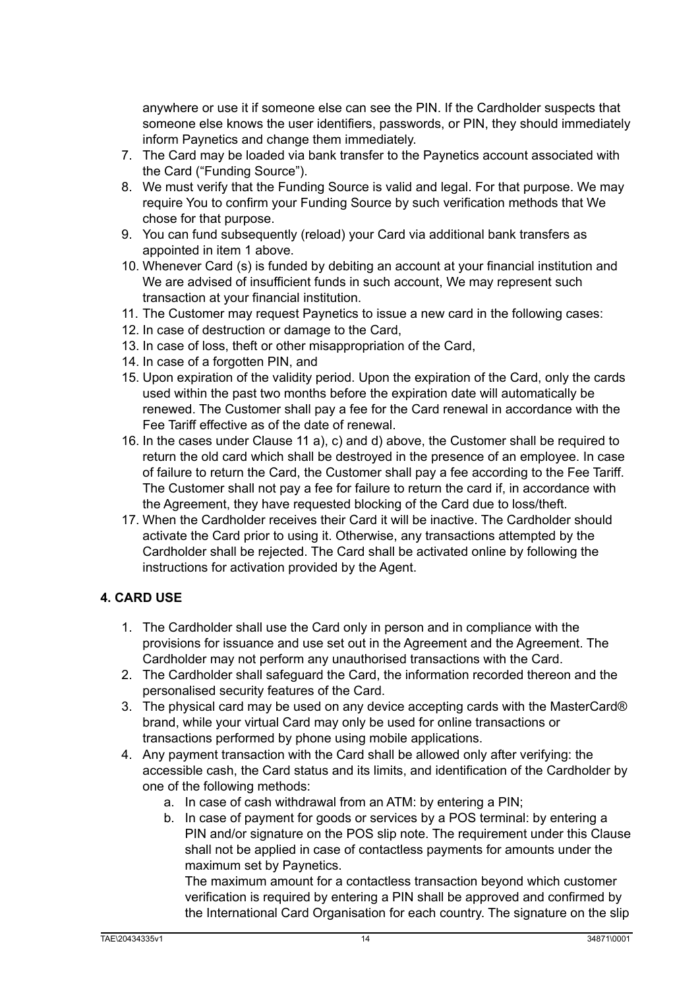anywhere or use it if someone else can see the PIN. If the Cardholder suspects that someone else knows the user identifiers, passwords, or PIN, they should immediately inform Paynetics and change them immediately.

- 7. The Card may be loaded via bank transfer to the Paynetics account associated with the Card ("Funding Source").
- 8. We must verify that the Funding Source is valid and legal. For that purpose. We may require You to confirm your Funding Source by such verification methods that We chose for that purpose.
- 9. You can fund subsequently (reload) your Card via additional bank transfers as appointed in item 1 above.
- 10. Whenever Card (s) is funded by debiting an account at your financial institution and We are advised of insufficient funds in such account, We may represent such transaction at your financial institution.
- 11. The Customer may request Paynetics to issue a new card in the following cases:
- 12. In case of destruction or damage to the Card,
- 13. In case of loss, theft or other misappropriation of the Card,
- 14. In case of a forgotten PIN, and
- 15. Upon expiration of the validity period. Upon the expiration of the Card, only the cards used within the past two months before the expiration date will automatically be renewed. The Customer shall pay a fee for the Card renewal in accordance with the Fee Tariff effective as of the date of renewal.
- 16. In the cases under Clause 11 a), c) and d) above, the Customer shall be required to return the old card which shall be destroyed in the presence of an employee. In case of failure to return the Card, the Customer shall pay a fee according to the Fee Tariff. The Customer shall not pay a fee for failure to return the card if, in accordance with the Agreement, they have requested blocking of the Card due to loss/theft.
- 17. When the Cardholder receives their Card it will be inactive. The Cardholder should activate the Card prior to using it. Otherwise, any transactions attempted by the Cardholder shall be rejected. The Card shall be activated online by following the instructions for activation provided by the Agent.

# **4. CARD USE**

- 1. The Cardholder shall use the Card only in person and in compliance with the provisions for issuance and use set out in the Agreement and the Agreement. The Cardholder may not perform any unauthorised transactions with the Card.
- 2. The Cardholder shall safeguard the Card, the information recorded thereon and the personalised security features of the Card.
- 3. The physical card may be used on any device accepting cards with the MasterCard® brand, while your virtual Card may only be used for online transactions or transactions performed by phone using mobile applications.
- 4. Any payment transaction with the Card shall be allowed only after verifying: the accessible cash, the Card status and its limits, and identification of the Cardholder by one of the following methods:
	- a. In case of cash withdrawal from an ATM: by entering a PIN;
	- b. In case of payment for goods or services by a POS terminal: by entering a PIN and/or signature on the POS slip note. The requirement under this Clause shall not be applied in case of contactless payments for amounts under the maximum set by Paynetics.

The maximum amount for a contactless transaction beyond which customer verification is required by entering a PIN shall be approved and confirmed by the International Card Organisation for each country. The signature on the slip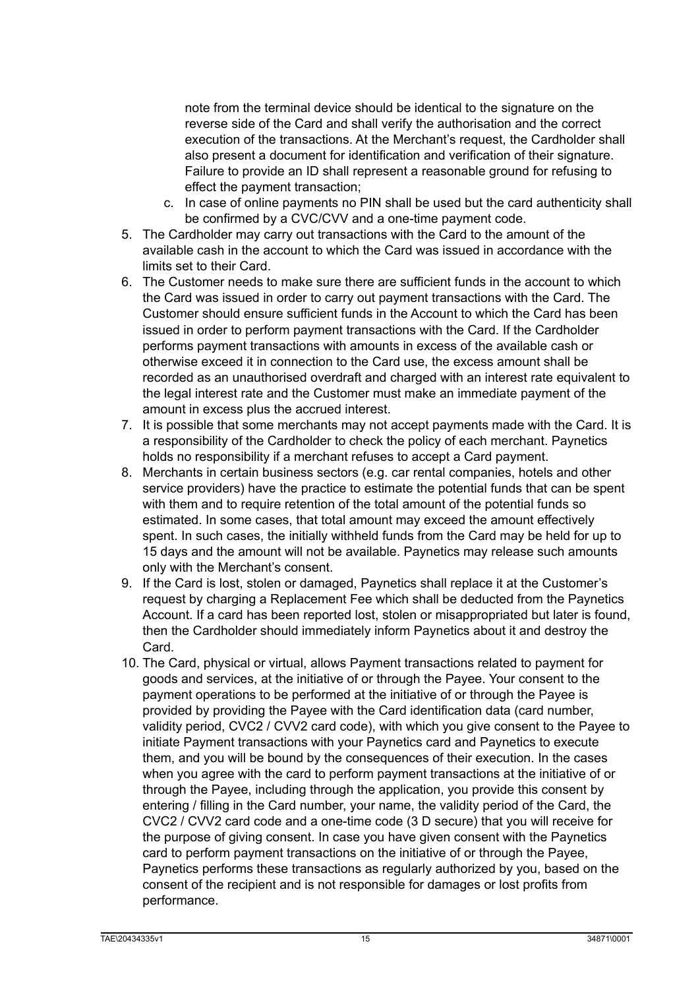note from the terminal device should be identical to the signature on the reverse side of the Card and shall verify the authorisation and the correct execution of the transactions. At the Merchant's request, the Cardholder shall also present a document for identification and verification of their signature. Failure to provide an ID shall represent a reasonable ground for refusing to effect the payment transaction;

- c. In case of online payments no PIN shall be used but the card authenticity shall be confirmed by a CVC/CVV and a one-time payment code.
- 5. The Cardholder may carry out transactions with the Card to the amount of the available cash in the account to which the Card was issued in accordance with the limits set to their Card.
- 6. The Customer needs to make sure there are sufficient funds in the account to which the Card was issued in order to carry out payment transactions with the Card. The Customer should ensure sufficient funds in the Account to which the Card has been issued in order to perform payment transactions with the Card. If the Cardholder performs payment transactions with amounts in excess of the available cash or otherwise exceed it in connection to the Card use, the excess amount shall be recorded as an unauthorised overdraft and charged with an interest rate equivalent to the legal interest rate and the Customer must make an immediate payment of the amount in excess plus the accrued interest.
- 7. It is possible that some merchants may not accept payments made with the Card. It is a responsibility of the Cardholder to check the policy of each merchant. Paynetics holds no responsibility if a merchant refuses to accept a Card payment.
- 8. Merchants in certain business sectors (e.g. car rental companies, hotels and other service providers) have the practice to estimate the potential funds that can be spent with them and to require retention of the total amount of the potential funds so estimated. In some cases, that total amount may exceed the amount effectively spent. In such cases, the initially withheld funds from the Card may be held for up to 15 days and the amount will not be available. Paynetics may release such amounts only with the Merchant's consent.
- 9. If the Card is lost, stolen or damaged, Paynetics shall replace it at the Customer's request by charging a Replacement Fee which shall be deducted from the Paynetics Account. If a card has been reported lost, stolen or misappropriated but later is found, then the Cardholder should immediately inform Paynetics about it and destroy the Card.
- 10. The Card, physical or virtual, allows Payment transactions related to payment for goods and services, at the initiative of or through the Payee. Your consent to the payment operations to be performed at the initiative of or through the Payee is provided by providing the Payee with the Card identification data (card number, validity period, CVC2 / CVV2 card code), with which you give consent to the Payee to initiate Payment transactions with your Paynetics card and Paynetics to execute them, and you will be bound by the consequences of their execution. In the cases when you agree with the card to perform payment transactions at the initiative of or through the Payee, including through the application, you provide this consent by entering / filling in the Card number, your name, the validity period of the Card, the CVC2 / CVV2 card code and a one-time code (3 D secure) that you will receive for the purpose of giving consent. In case you have given consent with the Paynetics card to perform payment transactions on the initiative of or through the Payee, Paynetics performs these transactions as regularly authorized by you, based on the consent of the recipient and is not responsible for damages or lost profits from performance.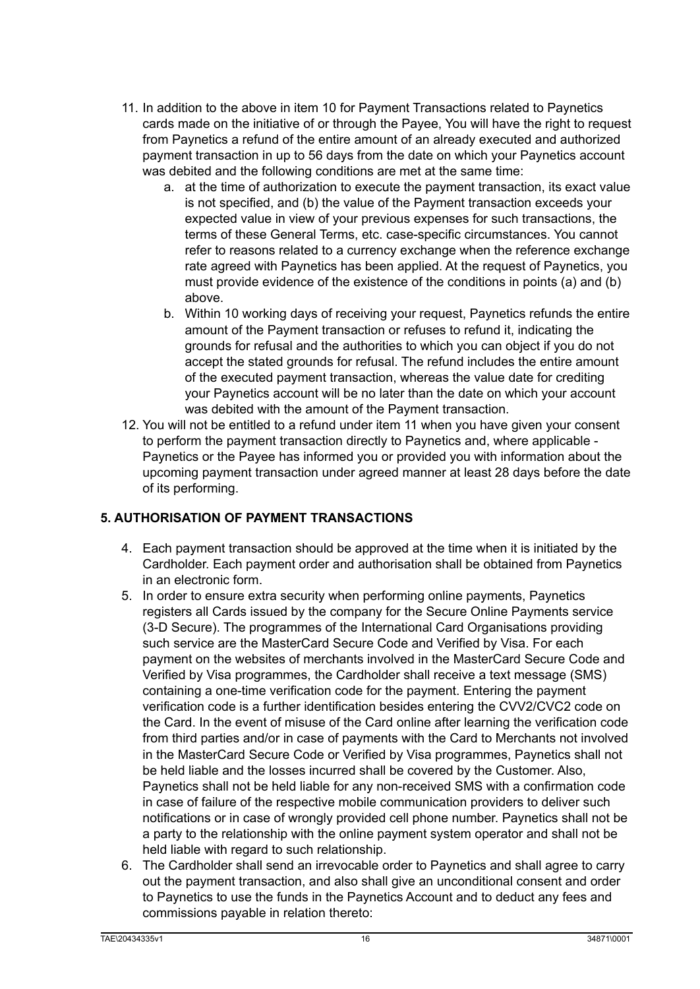- 11. In addition to the above in item 10 for Payment Transactions related to Paynetics cards made on the initiative of or through the Payee, You will have the right to request from Paynetics a refund of the entire amount of an already executed and authorized payment transaction in up to 56 days from the date on which your Paynetics account was debited and the following conditions are met at the same time:
	- a. at the time of authorization to execute the payment transaction, its exact value is not specified, and (b) the value of the Payment transaction exceeds your expected value in view of your previous expenses for such transactions, the terms of these General Terms, etc. case-specific circumstances. You cannot refer to reasons related to a currency exchange when the reference exchange rate agreed with Paynetics has been applied. At the request of Paynetics, you must provide evidence of the existence of the conditions in points (a) and (b) above.
	- b. Within 10 working days of receiving your request, Paynetics refunds the entire amount of the Payment transaction or refuses to refund it, indicating the grounds for refusal and the authorities to which you can object if you do not accept the stated grounds for refusal. The refund includes the entire amount of the executed payment transaction, whereas the value date for crediting your Paynetics account will be no later than the date on which your account was debited with the amount of the Payment transaction.
- 12. You will not be entitled to a refund under item 11 when you have given your consent to perform the payment transaction directly to Paynetics and, where applicable - Paynetics or the Payee has informed you or provided you with information about the upcoming payment transaction under agreed manner at least 28 days before the date of its performing.

# **5. AUTHORISATION OF PAYMENT TRANSACTIONS**

- 4. Each payment transaction should be approved at the time when it is initiated by the Cardholder. Each payment order and authorisation shall be obtained from Paynetics in an electronic form.
- 5. In order to ensure extra security when performing online payments, Paynetics registers all Cards issued by the company for the Secure Online Payments service (3-D Secure). The programmes of the International Card Organisations providing such service are the MasterCard Secure Code and Verified by Visa. For each payment on the websites of merchants involved in the MasterCard Secure Code and Verified by Visa programmes, the Cardholder shall receive a text message (SMS) containing a one-time verification code for the payment. Entering the payment verification code is a further identification besides entering the CVV2/CVC2 code on the Card. In the event of misuse of the Card online after learning the verification code from third parties and/or in case of payments with the Card to Merchants not involved in the MasterCard Secure Code or Verified by Visa programmes, Paynetics shall not be held liable and the losses incurred shall be covered by the Customer. Also, Paynetics shall not be held liable for any non-received SMS with a confirmation code in case of failure of the respective mobile communication providers to deliver such notifications or in case of wrongly provided cell phone number. Paynetics shall not be a party to the relationship with the online payment system operator and shall not be held liable with regard to such relationship.
- 6. The Cardholder shall send an irrevocable order to Paynetics and shall agree to carry out the payment transaction, and also shall give an unconditional consent and order to Paynetics to use the funds in the Paynetics Account and to deduct any fees and commissions payable in relation thereto: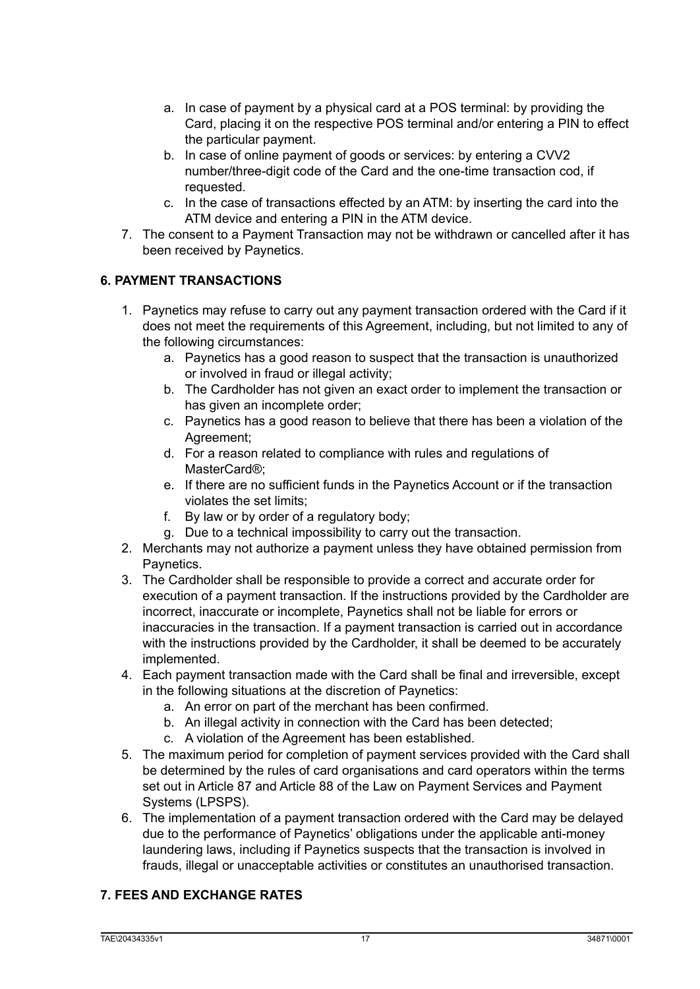- a. In case of payment by a physical card at a POS terminal: by providing the Card, placing it on the respective POS terminal and/or entering a PIN to effect the particular payment.
- b. In case of online payment of goods or services: by entering a CVV2 number/three-digit code of the Card and the one-time transaction cod, if requested.
- c. In the case of transactions effected by an ATM: by inserting the card into the ATM device and entering a PIN in the ATM device.
- 7. The consent to a Payment Transaction may not be withdrawn or cancelled after it has been received by Paynetics.

# **6. PAYMENT TRANSACTIONS**

- 1. Paynetics may refuse to carry out any payment transaction ordered with the Card if it does not meet the requirements of this Agreement, including, but not limited to any of the following circumstances:
	- a. Paynetics has a good reason to suspect that the transaction is unauthorized or involved in fraud or illegal activity;
	- b. The Cardholder has not given an exact order to implement the transaction or has given an incomplete order:
	- c. Paynetics has a good reason to believe that there has been a violation of the Agreement;
	- d. For a reason related to compliance with rules and regulations of MasterCard<sup>®</sup>:
	- e. If there are no sufficient funds in the Paynetics Account or if the transaction violates the set limits;
	- f. By law or by order of a regulatory body;
	- g. Due to a technical impossibility to carry out the transaction.
- 2. Merchants may not authorize a payment unless they have obtained permission from Paynetics.
- 3. The Cardholder shall be responsible to provide a correct and accurate order for execution of a payment transaction. If the instructions provided by the Cardholder are incorrect, inaccurate or incomplete, Paynetics shall not be liable for errors or inaccuracies in the transaction. If a payment transaction is carried out in accordance with the instructions provided by the Cardholder, it shall be deemed to be accurately implemented.
- 4. Each payment transaction made with the Card shall be final and irreversible, except in the following situations at the discretion of Paynetics:
	- a. An error on part of the merchant has been confirmed.
	- b. An illegal activity in connection with the Card has been detected;
	- c. A violation of the Agreement has been established.
- 5. The maximum period for completion of payment services provided with the Card shall be determined by the rules of card organisations and card operators within the terms set out in Article 87 and Article 88 of the Law on Payment Services and Payment Systems (LPSPS).
- 6. The implementation of a payment transaction ordered with the Card may be delayed due to the performance of Paynetics' obligations under the applicable anti-money laundering laws, including if Paynetics suspects that the transaction is involved in frauds, illegal or unacceptable activities or constitutes an unauthorised transaction.

# **7. FEES AND EXCHANGE RATES**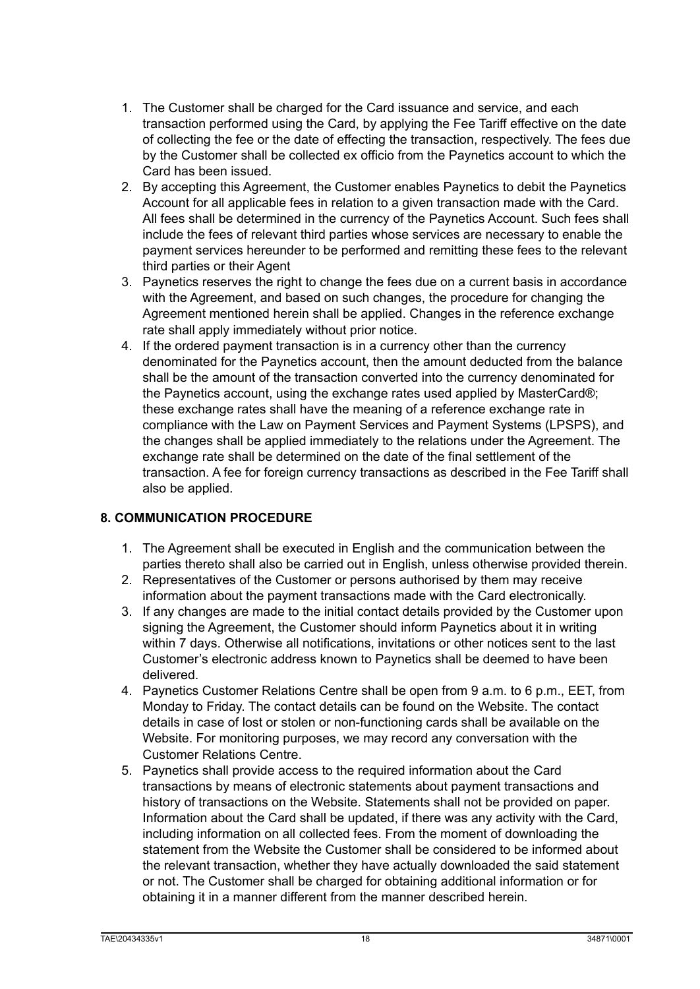- 1. The Customer shall be charged for the Card issuance and service, and each transaction performed using the Card, by applying the Fee Tariff effective on the date of collecting the fee or the date of effecting the transaction, respectively. The fees due by the Customer shall be collected ex officio from the Paynetics account to which the Card has been issued.
- 2. By accepting this Agreement, the Customer enables Paynetics to debit the Paynetics Account for all applicable fees in relation to a given transaction made with the Card. All fees shall be determined in the currency of the Paynetics Account. Such fees shall include the fees of relevant third parties whose services are necessary to enable the payment services hereunder to be performed and remitting these fees to the relevant third parties or their Agent
- 3. Paynetics reserves the right to change the fees due on a current basis in accordance with the Agreement, and based on such changes, the procedure for changing the Agreement mentioned herein shall be applied. Changes in the reference exchange rate shall apply immediately without prior notice.
- 4. If the ordered payment transaction is in a currency other than the currency denominated for the Paynetics account, then the amount deducted from the balance shall be the amount of the transaction converted into the currency denominated for the Paynetics account, using the exchange rates used applied by MasterCard®; these exchange rates shall have the meaning of a reference exchange rate in compliance with the Law on Payment Services and Payment Systems (LPSPS), and the changes shall be applied immediately to the relations under the Agreement. The exchange rate shall be determined on the date of the final settlement of the transaction. A fee for foreign currency transactions as described in the Fee Tariff shall also be applied.

# **8. COMMUNICATION PROCEDURE**

- 1. The Agreement shall be executed in English and the communication between the parties thereto shall also be carried out in English, unless otherwise provided therein.
- 2. Representatives of the Customer or persons authorised by them may receive information about the payment transactions made with the Card electronically.
- 3. If any changes are made to the initial contact details provided by the Customer upon signing the Agreement, the Customer should inform Paynetics about it in writing within 7 days. Otherwise all notifications, invitations or other notices sent to the last Customer's electronic address known to Paynetics shall be deemed to have been delivered.
- 4. Paynetics Customer Relations Centre shall be open from 9 a.m. to 6 p.m., EET, from Monday to Friday. The contact details can be found on the Website. The contact details in case of lost or stolen or non-functioning cards shall be available on the Website. For monitoring purposes, we may record any conversation with the Customer Relations Centre.
- 5. Paynetics shall provide access to the required information about the Card transactions by means of electronic statements about payment transactions and history of transactions on the Website. Statements shall not be provided on paper. Information about the Card shall be updated, if there was any activity with the Card, including information on all collected fees. From the moment of downloading the statement from the Website the Customer shall be considered to be informed about the relevant transaction, whether they have actually downloaded the said statement or not. The Customer shall be charged for obtaining additional information or for obtaining it in a manner different from the manner described herein.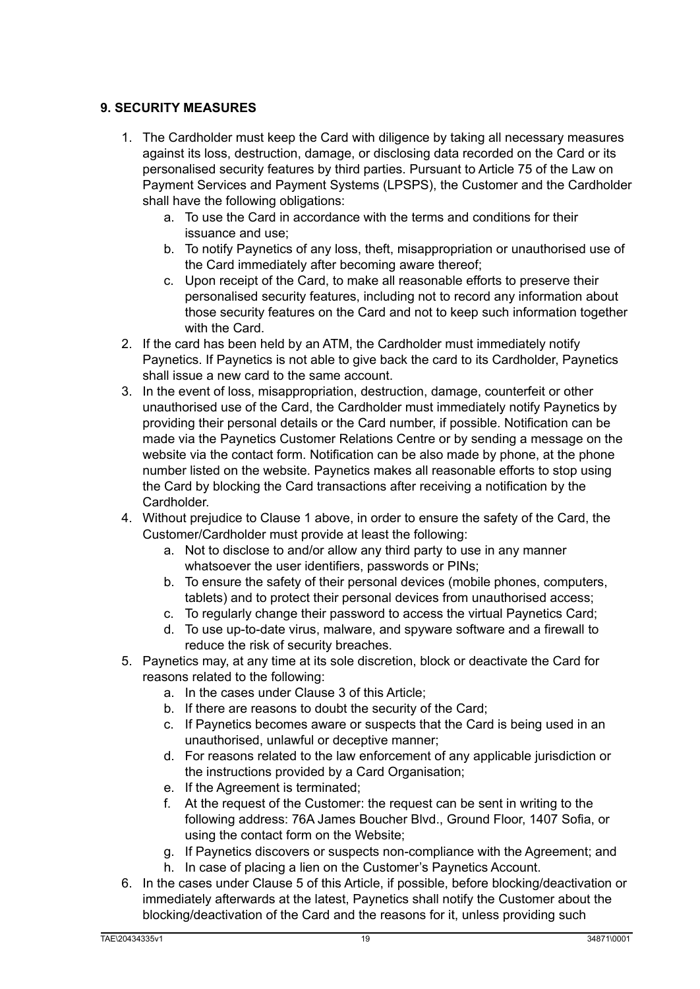# **9. SECURITY MEASURES**

- 1. The Cardholder must keep the Card with diligence by taking all necessary measures against its loss, destruction, damage, or disclosing data recorded on the Card or its personalised security features by third parties. Pursuant to Article 75 of the Law on Payment Services and Payment Systems (LPSPS), the Customer and the Cardholder shall have the following obligations:
	- a. To use the Card in accordance with the terms and conditions for their issuance and use;
	- b. To notify Paynetics of any loss, theft, misappropriation or unauthorised use of the Card immediately after becoming aware thereof;
	- c. Upon receipt of the Card, to make all reasonable efforts to preserve their personalised security features, including not to record any information about those security features on the Card and not to keep such information together with the Card.
- 2. If the card has been held by an ATM, the Cardholder must immediately notify Paynetics. If Paynetics is not able to give back the card to its Cardholder, Paynetics shall issue a new card to the same account.
- 3. In the event of loss, misappropriation, destruction, damage, counterfeit or other unauthorised use of the Card, the Cardholder must immediately notify Paynetics by providing their personal details or the Card number, if possible. Notification can be made via the Paynetics Customer Relations Centre or by sending a message on the website via the contact form. Notification can be also made by phone, at the phone number listed on the website. Paynetics makes all reasonable efforts to stop using the Card by blocking the Card transactions after receiving a notification by the Cardholder.
- 4. Without prejudice to Clause 1 above, in order to ensure the safety of the Card, the Customer/Cardholder must provide at least the following:
	- a. Not to disclose to and/or allow any third party to use in any manner whatsoever the user identifiers, passwords or PINs;
	- b. To ensure the safety of their personal devices (mobile phones, computers, tablets) and to protect their personal devices from unauthorised access;
	- c. To regularly change their password to access the virtual Paynetics Card;
	- d. To use up-to-date virus, malware, and spyware software and a firewall to reduce the risk of security breaches.
- 5. Paynetics may, at any time at its sole discretion, block or deactivate the Card for reasons related to the following:
	- a. In the cases under Clause 3 of this Article;
	- b. If there are reasons to doubt the security of the Card;
	- c. If Paynetics becomes aware or suspects that the Card is being used in an unauthorised, unlawful or deceptive manner;
	- d. For reasons related to the law enforcement of any applicable jurisdiction or the instructions provided by a Card Organisation;
	- e. If the Agreement is terminated;
	- f. At the request of the Customer: the request can be sent in writing to the following address: 76A James Boucher Blvd., Ground Floor, 1407 Sofia, or using the contact form on the Website;
	- g. If Paynetics discovers or suspects non-compliance with the Agreement; and
	- h. In case of placing a lien on the Customer's Paynetics Account.
- 6. In the cases under Clause 5 of this Article, if possible, before blocking/deactivation or immediately afterwards at the latest, Paynetics shall notify the Customer about the blocking/deactivation of the Card and the reasons for it, unless providing such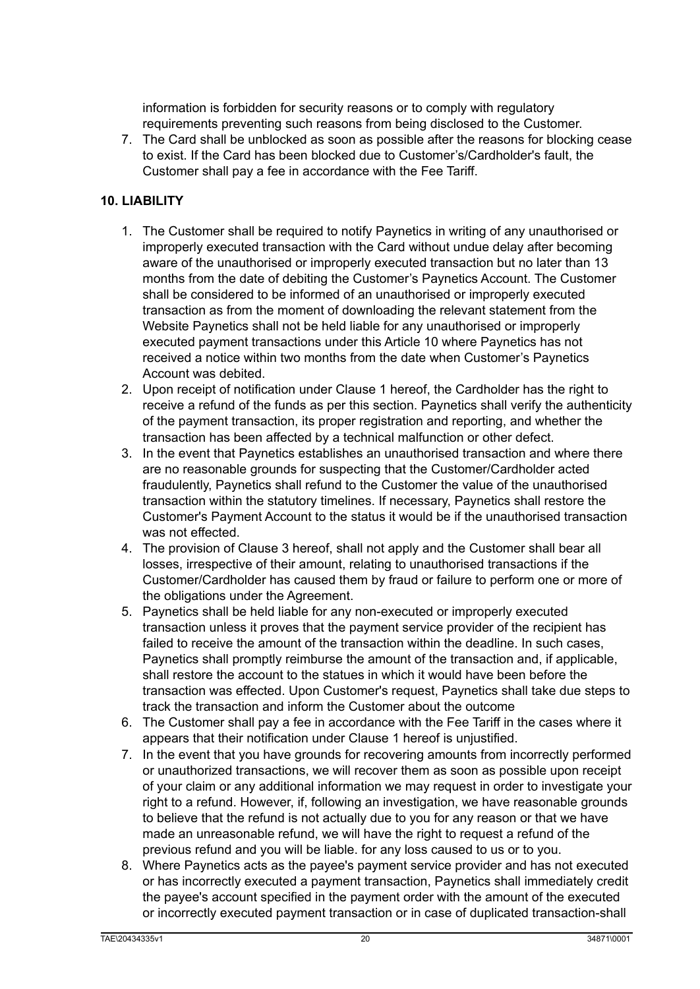information is forbidden for security reasons or to comply with regulatory requirements preventing such reasons from being disclosed to the Customer.

7. The Card shall be unblocked as soon as possible after the reasons for blocking cease to exist. If the Card has been blocked due to Customer's/Cardholder's fault, the Customer shall pay a fee in accordance with the Fee Tariff.

# **10. LIABILITY**

- 1. The Customer shall be required to notify Paynetics in writing of any unauthorised or improperly executed transaction with the Card without undue delay after becoming aware of the unauthorised or improperly executed transaction but no later than 13 months from the date of debiting the Customer's Paynetics Account. The Customer shall be considered to be informed of an unauthorised or improperly executed transaction as from the moment of downloading the relevant statement from the Website Paynetics shall not be held liable for any unauthorised or improperly executed payment transactions under this Article 10 where Paynetics has not received a notice within two months from the date when Customer's Paynetics Account was debited.
- 2. Upon receipt of notification under Clause 1 hereof, the Cardholder has the right to receive a refund of the funds as per this section. Paynetics shall verify the authenticity of the payment transaction, its proper registration and reporting, and whether the transaction has been affected by a technical malfunction or other defect.
- 3. In the event that Paynetics establishes an unauthorised transaction and where there are no reasonable grounds for suspecting that the Customer/Cardholder acted fraudulently, Paynetics shall refund to the Customer the value of the unauthorised transaction within the statutory timelines. If necessary, Paynetics shall restore the Customer's Payment Account to the status it would be if the unauthorised transaction was not effected.
- 4. The provision of Clause 3 hereof, shall not apply and the Customer shall bear all losses, irrespective of their amount, relating to unauthorised transactions if the Customer/Cardholder has caused them by fraud or failure to perform one or more of the obligations under the Agreement.
- 5. Paynetics shall be held liable for any non-executed or improperly executed transaction unless it proves that the payment service provider of the recipient has failed to receive the amount of the transaction within the deadline. In such cases, Paynetics shall promptly reimburse the amount of the transaction and, if applicable, shall restore the account to the statues in which it would have been before the transaction was effected. Upon Customer's request, Paynetics shall take due steps to track the transaction and inform the Customer about the outcome
- 6. The Customer shall pay a fee in accordance with the Fee Tariff in the cases where it appears that their notification under Clause 1 hereof is unjustified.
- 7. In the event that you have grounds for recovering amounts from incorrectly performed or unauthorized transactions, we will recover them as soon as possible upon receipt of your claim or any additional information we may request in order to investigate your right to a refund. However, if, following an investigation, we have reasonable grounds to believe that the refund is not actually due to you for any reason or that we have made an unreasonable refund, we will have the right to request a refund of the previous refund and you will be liable. for any loss caused to us or to you.
- 8. Where Paynetics acts as the payee's payment service provider and has not executed or has incorrectly executed a payment transaction, Paynetics shall immediately credit the payee's account specified in the payment order with the amount of the executed or incorrectly executed payment transaction or in case of duplicated transaction-shall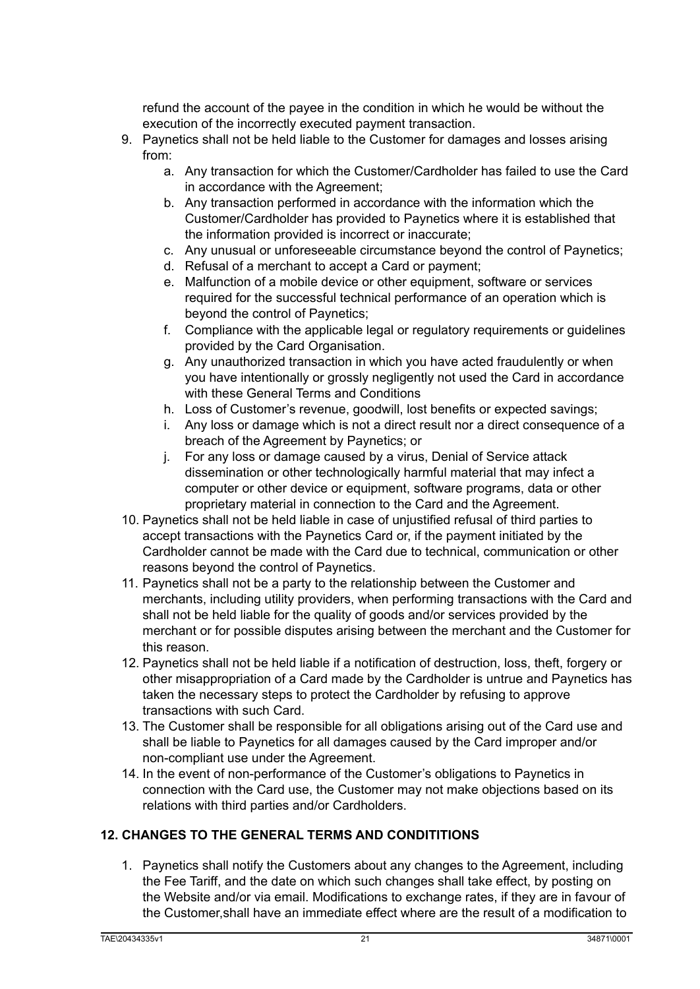refund the account of the payee in the condition in which he would be without the execution of the incorrectly executed payment transaction.

- 9. Paynetics shall not be held liable to the Customer for damages and losses arising from:
	- a. Any transaction for which the Customer/Cardholder has failed to use the Card in accordance with the Agreement;
	- b. Any transaction performed in accordance with the information which the Customer/Cardholder has provided to Paynetics where it is established that the information provided is incorrect or inaccurate;
	- c. Any unusual or unforeseeable circumstance beyond the control of Paynetics;
	- d. Refusal of a merchant to accept a Card or payment;
	- e. Malfunction of a mobile device or other equipment, software or services required for the successful technical performance of an operation which is beyond the control of Paynetics;
	- f. Compliance with the applicable legal or regulatory requirements or guidelines provided by the Card Organisation.
	- g. Any unauthorized transaction in which you have acted fraudulently or when you have intentionally or grossly negligently not used the Card in accordance with these General Terms and Conditions
	- h. Loss of Customer's revenue, goodwill, lost benefits or expected savings;
	- i. Any loss or damage which is not a direct result nor a direct consequence of a breach of the Agreement by Paynetics; or
	- j. For any loss or damage caused by a virus, Denial of Service attack dissemination or other technologically harmful material that may infect a computer or other device or equipment, software programs, data or other proprietary material in connection to the Card and the Agreement.
- 10. Paynetics shall not be held liable in case of unjustified refusal of third parties to accept transactions with the Paynetics Card or, if the payment initiated by the Cardholder cannot be made with the Card due to technical, communication or other reasons beyond the control of Paynetics.
- 11. Paynetics shall not be a party to the relationship between the Customer and merchants, including utility providers, when performing transactions with the Card and shall not be held liable for the quality of goods and/or services provided by the merchant or for possible disputes arising between the merchant and the Customer for this reason.
- 12. Paynetics shall not be held liable if a notification of destruction, loss, theft, forgery or other misappropriation of a Card made by the Cardholder is untrue and Paynetics has taken the necessary steps to protect the Cardholder by refusing to approve transactions with such Card.
- 13. The Customer shall be responsible for all obligations arising out of the Card use and shall be liable to Paynetics for all damages caused by the Card improper and/or non-compliant use under the Agreement.
- 14. In the event of non-performance of the Customer's obligations to Paynetics in connection with the Card use, the Customer may not make objections based on its relations with third parties and/or Cardholders.

# **12. CHANGES TO THE GENERAL TERMS AND CONDITITIONS**

1. Paynetics shall notify the Customers about any changes to the Agreement, including the Fee Tariff, and the date on which such changes shall take effect, by posting on the Website and/or via email. Modifications to exchange rates, if they are in favour of the Customer,shall have an immediate effect where are the result of a modification to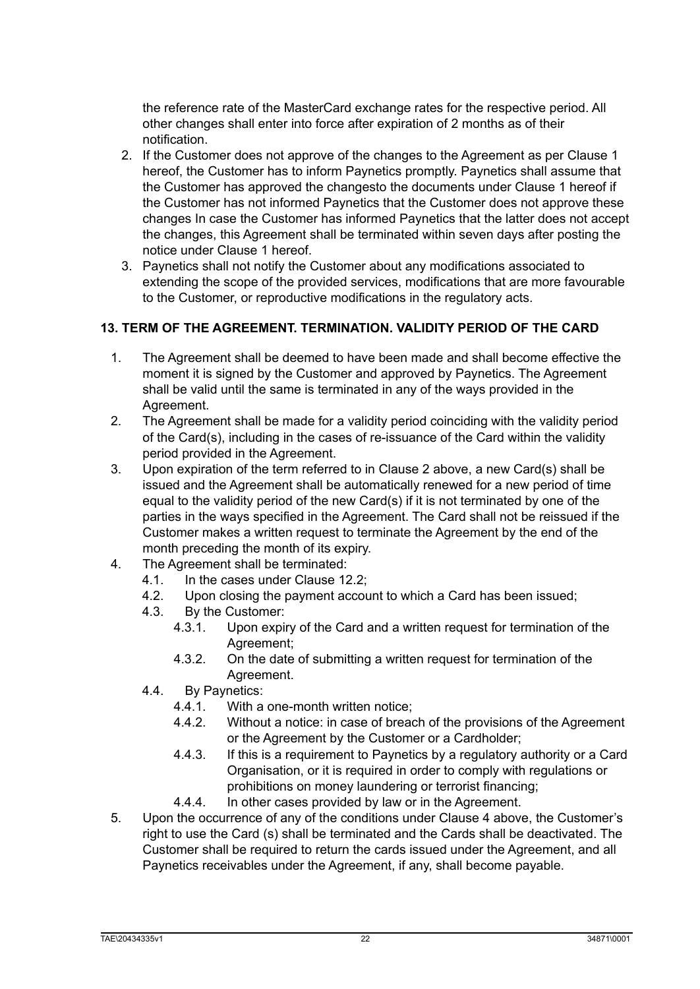the reference rate of the MasterCard exchange rates for the respective period. All other changes shall enter into force after expiration of 2 months as of their notification.

- 2. If the Customer does not approve of the changes to the Agreement as per Clause 1 hereof, the Customer has to inform Paynetics promptly. Paynetics shall assume that the Customer has approved the changesto the documents under Clause 1 hereof if the Customer has not informed Paynetics that the Customer does not approve these changes In case the Customer has informed Paynetics that the latter does not accept the changes, this Agreement shall be terminated within seven days after posting the notice under Clause 1 hereof.
- 3. Paynetics shall not notify the Customer about any modifications associated to extending the scope of the provided services, modifications that are more favourable to the Customer, or reproductive modifications in the regulatory acts.

# **13. TERM OF THE AGREEMENT. TERMINATION. VALIDITY PERIOD OF THE CARD**

- 1. The Agreement shall be deemed to have been made and shall become effective the moment it is signed by the Customer and approved by Paynetics. The Agreement shall be valid until the same is terminated in any of the ways provided in the Agreement.
- 2. The Agreement shall be made for a validity period coinciding with the validity period of the Card(s), including in the cases of re-issuance of the Card within the validity period provided in the Agreement.
- 3. Upon expiration of the term referred to in Clause 2 above, a new Card(s) shall be issued and the Agreement shall be automatically renewed for a new period of time equal to the validity period of the new Card(s) if it is not terminated by one of the parties in the ways specified in the Agreement. The Card shall not be reissued if the Customer makes a written request to terminate the Agreement by the end of the month preceding the month of its expiry.
- 4. The Agreement shall be terminated:
	- 4.1. In the cases under Clause 12.2;
	- 4.2. Upon closing the payment account to which a Card has been issued;
	- 4.3. By the Customer:
		- 4.3.1. Upon expiry of the Card and a written request for termination of the Agreement;
		- 4.3.2. On the date of submitting a written request for termination of the Agreement.
	- 4.4. By Paynetics:
		- 4.4.1. With a one-month written notice;
		- 4.4.2. Without a notice: in case of breach of the provisions of the Agreement or the Agreement by the Customer or a Cardholder;
		- 4.4.3. If this is a requirement to Paynetics by a regulatory authority or a Card Organisation, or it is required in order to comply with regulations or prohibitions on money laundering or terrorist financing;
		- 4.4.4. In other cases provided by law or in the Agreement.
- 5. Upon the occurrence of any of the conditions under Clause 4 above, the Customer's right to use the Card (s) shall be terminated and the Cards shall be deactivated. The Customer shall be required to return the cards issued under the Agreement, and all Paynetics receivables under the Agreement, if any, shall become payable.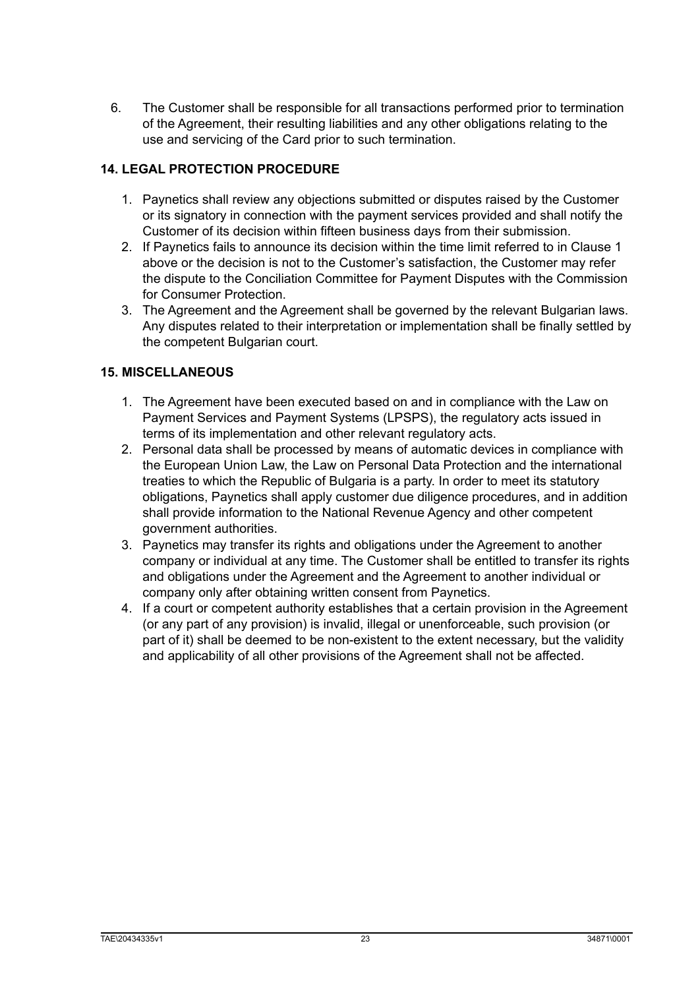6. The Customer shall be responsible for all transactions performed prior to termination of the Agreement, their resulting liabilities and any other obligations relating to the use and servicing of the Card prior to such termination.

# **14. LEGAL PROTECTION PROCEDURE**

- 1. Paynetics shall review any objections submitted or disputes raised by the Customer or its signatory in connection with the payment services provided and shall notify the Customer of its decision within fifteen business days from their submission.
- 2. If Paynetics fails to announce its decision within the time limit referred to in Clause 1 above or the decision is not to the Customer's satisfaction, the Customer may refer the dispute to the Conciliation Committee for Payment Disputes with the Commission for Consumer Protection.
- 3. The Agreement and the Agreement shall be governed by the relevant Bulgarian laws. Any disputes related to their interpretation or implementation shall be finally settled by the competent Bulgarian court.

# **15. MISCELLANEOUS**

- 1. The Agreement have been executed based on and in compliance with the Law on Payment Services and Payment Systems (LPSPS), the regulatory acts issued in terms of its implementation and other relevant regulatory acts.
- 2. Personal data shall be processed by means of automatic devices in compliance with the European Union Law, the Law on Personal Data Protection and the international treaties to which the Republic of Bulgaria is a party. In order to meet its statutory obligations, Paynetics shall apply customer due diligence procedures, and in addition shall provide information to the National Revenue Agency and other competent government authorities.
- 3. Paynetics may transfer its rights and obligations under the Agreement to another company or individual at any time. The Customer shall be entitled to transfer its rights and obligations under the Agreement and the Agreement to another individual or company only after obtaining written consent from Paynetics.
- 4. If a court or competent authority establishes that a certain provision in the Agreement (or any part of any provision) is invalid, illegal or unenforceable, such provision (or part of it) shall be deemed to be non-existent to the extent necessary, but the validity and applicability of all other provisions of the Agreement shall not be affected.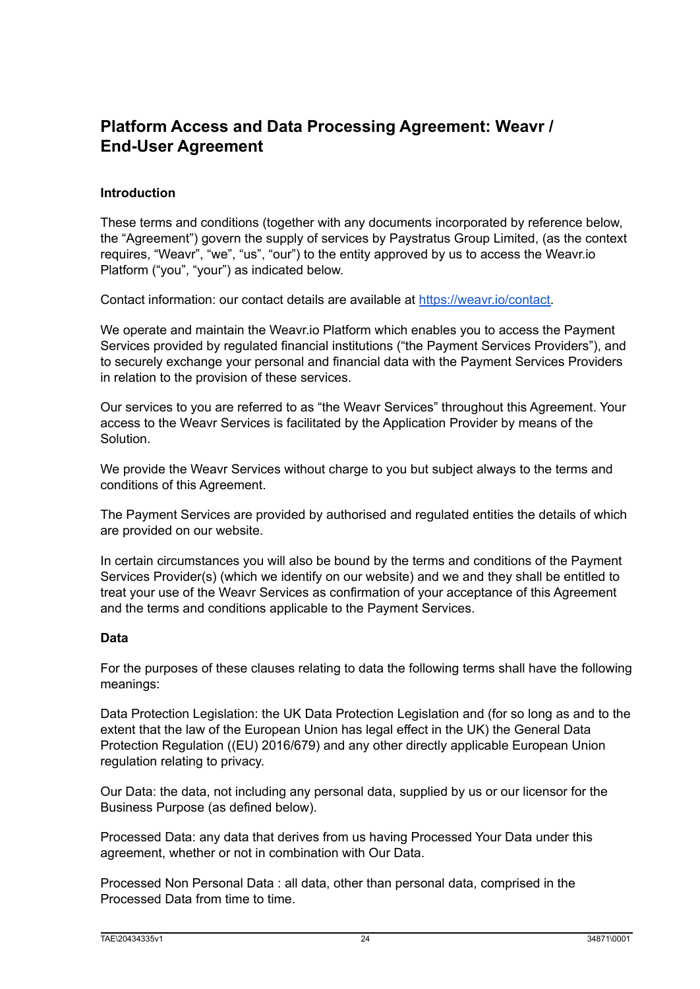# **Platform Access and Data Processing Agreement: Weavr / End-User Agreement**

### **Introduction**

These terms and conditions (together with any documents incorporated by reference below, the "Agreement") govern the supply of services by Paystratus Group Limited, (as the context requires, "Weavr", "we", "us", "our") to the entity approved by us to access the Weavr.io Platform ("you", "your") as indicated below.

Contact information: our contact details are available at [https://weavr.io/contact.](https://weavr.io/contact)

We operate and maintain the Weavr.io Platform which enables you to access the Payment Services provided by regulated financial institutions ("the Payment Services Providers"), and to securely exchange your personal and financial data with the Payment Services Providers in relation to the provision of these services.

Our services to you are referred to as "the Weavr Services" throughout this Agreement. Your access to the Weavr Services is facilitated by the Application Provider by means of the Solution.

We provide the Weavr Services without charge to you but subject always to the terms and conditions of this Agreement.

The Payment Services are provided by authorised and regulated entities the details of which are provided on our website.

In certain circumstances you will also be bound by the terms and conditions of the Payment Services Provider(s) (which we identify on our website) and we and they shall be entitled to treat your use of the Weavr Services as confirmation of your acceptance of this Agreement and the terms and conditions applicable to the Payment Services.

### **Data**

For the purposes of these clauses relating to data the following terms shall have the following meanings:

Data Protection Legislation: the UK Data Protection Legislation and (for so long as and to the extent that the law of the European Union has legal effect in the UK) the General Data Protection Regulation ((EU) 2016/679) and any other directly applicable European Union regulation relating to privacy.

Our Data: the data, not including any personal data, supplied by us or our licensor for the Business Purpose (as defined below).

Processed Data: any data that derives from us having Processed Your Data under this agreement, whether or not in combination with Our Data.

Processed Non Personal Data : all data, other than personal data, comprised in the Processed Data from time to time.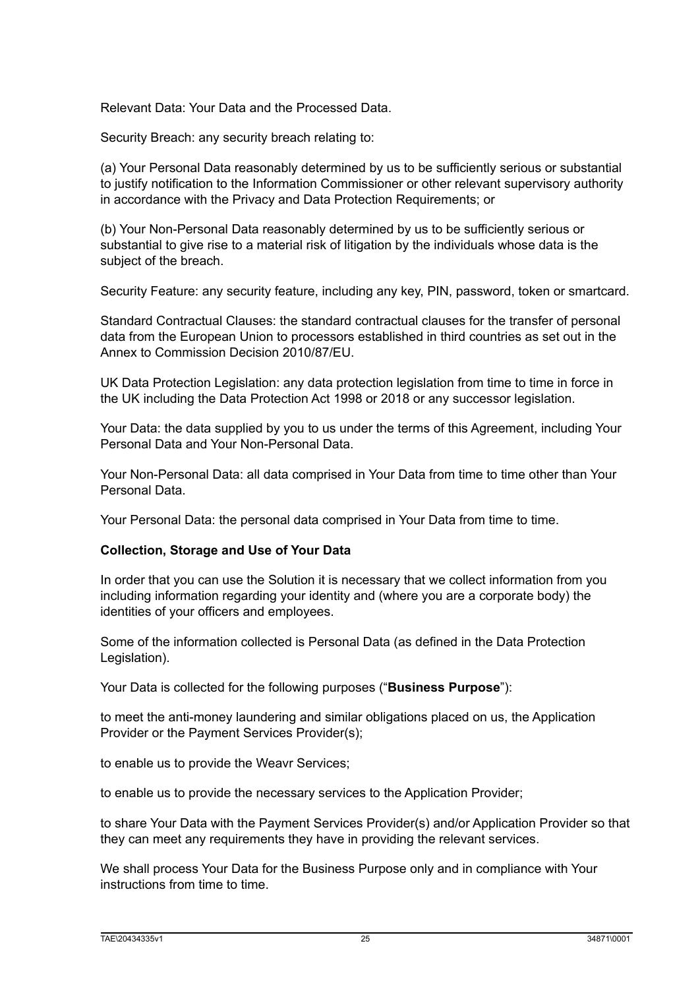Relevant Data: Your Data and the Processed Data.

Security Breach: any security breach relating to:

(a) Your Personal Data reasonably determined by us to be sufficiently serious or substantial to justify notification to the Information Commissioner or other relevant supervisory authority in accordance with the Privacy and Data Protection Requirements; or

(b) Your Non-Personal Data reasonably determined by us to be sufficiently serious or substantial to give rise to a material risk of litigation by the individuals whose data is the subject of the breach.

Security Feature: any security feature, including any key, PIN, password, token or smartcard.

Standard Contractual Clauses: the standard contractual clauses for the transfer of personal data from the European Union to processors established in third countries as set out in the Annex to Commission Decision 2010/87/EU.

UK Data Protection Legislation: any data protection legislation from time to time in force in the UK including the Data Protection Act 1998 or 2018 or any successor legislation.

Your Data: the data supplied by you to us under the terms of this Agreement, including Your Personal Data and Your Non-Personal Data.

Your Non-Personal Data: all data comprised in Your Data from time to time other than Your Personal Data.

Your Personal Data: the personal data comprised in Your Data from time to time.

### **Collection, Storage and Use of Your Data**

In order that you can use the Solution it is necessary that we collect information from you including information regarding your identity and (where you are a corporate body) the identities of your officers and employees.

Some of the information collected is Personal Data (as defined in the Data Protection Legislation).

Your Data is collected for the following purposes ("**Business Purpose**"):

to meet the anti-money laundering and similar obligations placed on us, the Application Provider or the Payment Services Provider(s);

to enable us to provide the Weavr Services;

to enable us to provide the necessary services to the Application Provider;

to share Your Data with the Payment Services Provider(s) and/or Application Provider so that they can meet any requirements they have in providing the relevant services.

We shall process Your Data for the Business Purpose only and in compliance with Your instructions from time to time.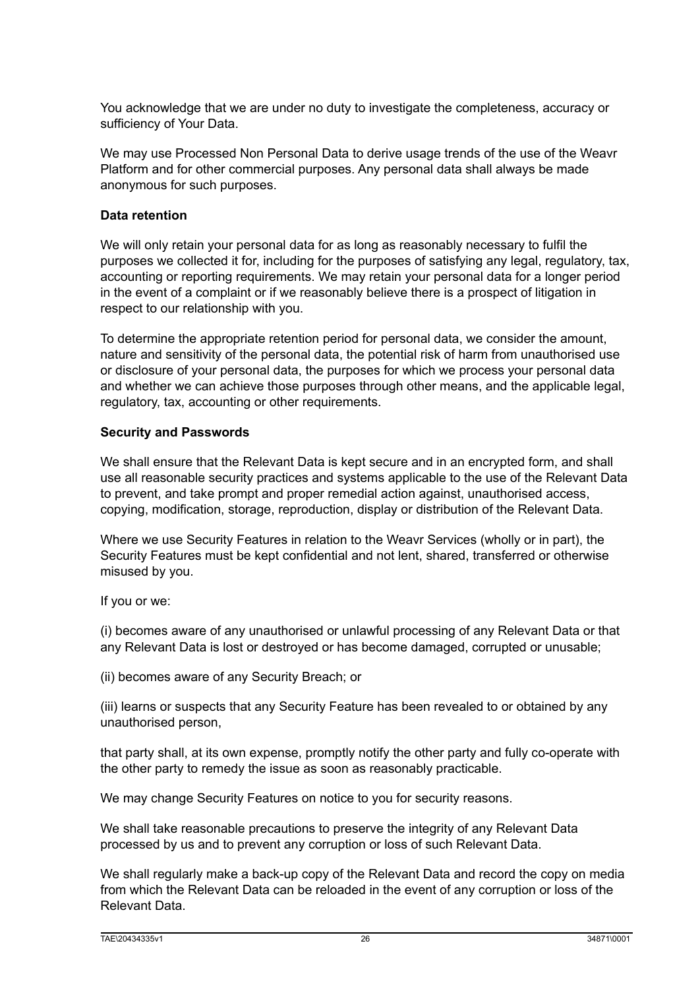You acknowledge that we are under no duty to investigate the completeness, accuracy or sufficiency of Your Data.

We may use Processed Non Personal Data to derive usage trends of the use of the Weavr Platform and for other commercial purposes. Any personal data shall always be made anonymous for such purposes.

### **Data retention**

We will only retain your personal data for as long as reasonably necessary to fulfil the purposes we collected it for, including for the purposes of satisfying any legal, regulatory, tax, accounting or reporting requirements. We may retain your personal data for a longer period in the event of a complaint or if we reasonably believe there is a prospect of litigation in respect to our relationship with you.

To determine the appropriate retention period for personal data, we consider the amount, nature and sensitivity of the personal data, the potential risk of harm from unauthorised use or disclosure of your personal data, the purposes for which we process your personal data and whether we can achieve those purposes through other means, and the applicable legal, regulatory, tax, accounting or other requirements.

### **Security and Passwords**

We shall ensure that the Relevant Data is kept secure and in an encrypted form, and shall use all reasonable security practices and systems applicable to the use of the Relevant Data to prevent, and take prompt and proper remedial action against, unauthorised access, copying, modification, storage, reproduction, display or distribution of the Relevant Data.

Where we use Security Features in relation to the Weavr Services (wholly or in part), the Security Features must be kept confidential and not lent, shared, transferred or otherwise misused by you.

If you or we:

(i) becomes aware of any unauthorised or unlawful processing of any Relevant Data or that any Relevant Data is lost or destroyed or has become damaged, corrupted or unusable;

(ii) becomes aware of any Security Breach; or

(iii) learns or suspects that any Security Feature has been revealed to or obtained by any unauthorised person,

that party shall, at its own expense, promptly notify the other party and fully co-operate with the other party to remedy the issue as soon as reasonably practicable.

We may change Security Features on notice to you for security reasons.

We shall take reasonable precautions to preserve the integrity of any Relevant Data processed by us and to prevent any corruption or loss of such Relevant Data.

We shall regularly make a back-up copy of the Relevant Data and record the copy on media from which the Relevant Data can be reloaded in the event of any corruption or loss of the Relevant Data.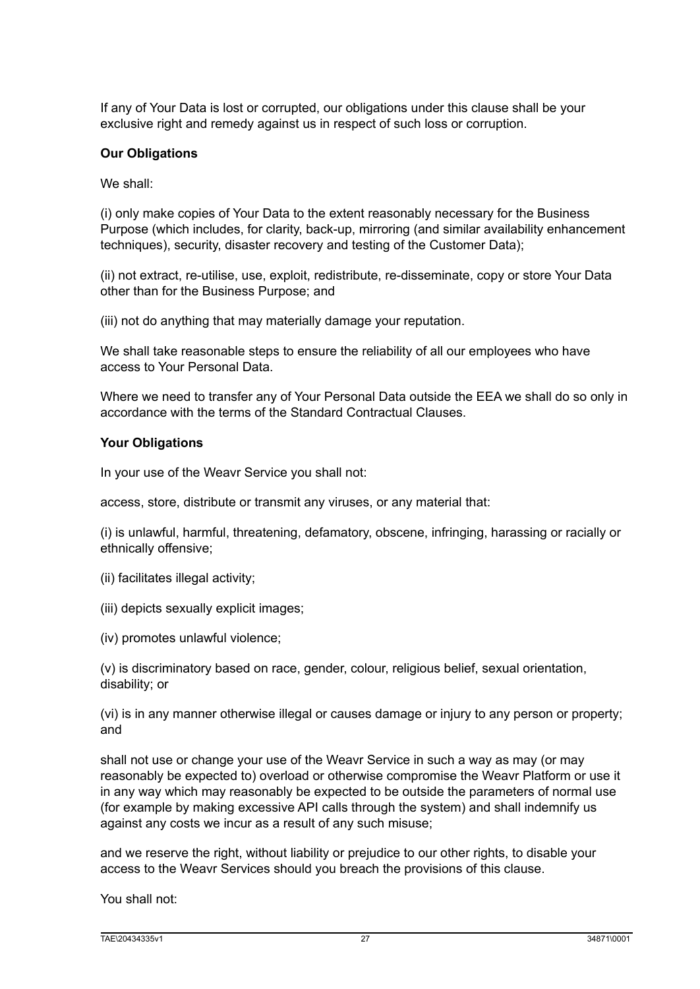If any of Your Data is lost or corrupted, our obligations under this clause shall be your exclusive right and remedy against us in respect of such loss or corruption.

### **Our Obligations**

We shall:

(i) only make copies of Your Data to the extent reasonably necessary for the Business Purpose (which includes, for clarity, back-up, mirroring (and similar availability enhancement techniques), security, disaster recovery and testing of the Customer Data);

(ii) not extract, re-utilise, use, exploit, redistribute, re-disseminate, copy or store Your Data other than for the Business Purpose; and

(iii) not do anything that may materially damage your reputation.

We shall take reasonable steps to ensure the reliability of all our employees who have access to Your Personal Data.

Where we need to transfer any of Your Personal Data outside the EEA we shall do so only in accordance with the terms of the Standard Contractual Clauses.

### **Your Obligations**

In your use of the Weavr Service you shall not:

access, store, distribute or transmit any viruses, or any material that:

(i) is unlawful, harmful, threatening, defamatory, obscene, infringing, harassing or racially or ethnically offensive;

- (ii) facilitates illegal activity;
- (iii) depicts sexually explicit images;
- (iv) promotes unlawful violence;

(v) is discriminatory based on race, gender, colour, religious belief, sexual orientation, disability; or

(vi) is in any manner otherwise illegal or causes damage or injury to any person or property; and

shall not use or change your use of the Weavr Service in such a way as may (or may reasonably be expected to) overload or otherwise compromise the Weavr Platform or use it in any way which may reasonably be expected to be outside the parameters of normal use (for example by making excessive API calls through the system) and shall indemnify us against any costs we incur as a result of any such misuse;

and we reserve the right, without liability or prejudice to our other rights, to disable your access to the Weavr Services should you breach the provisions of this clause.

You shall not: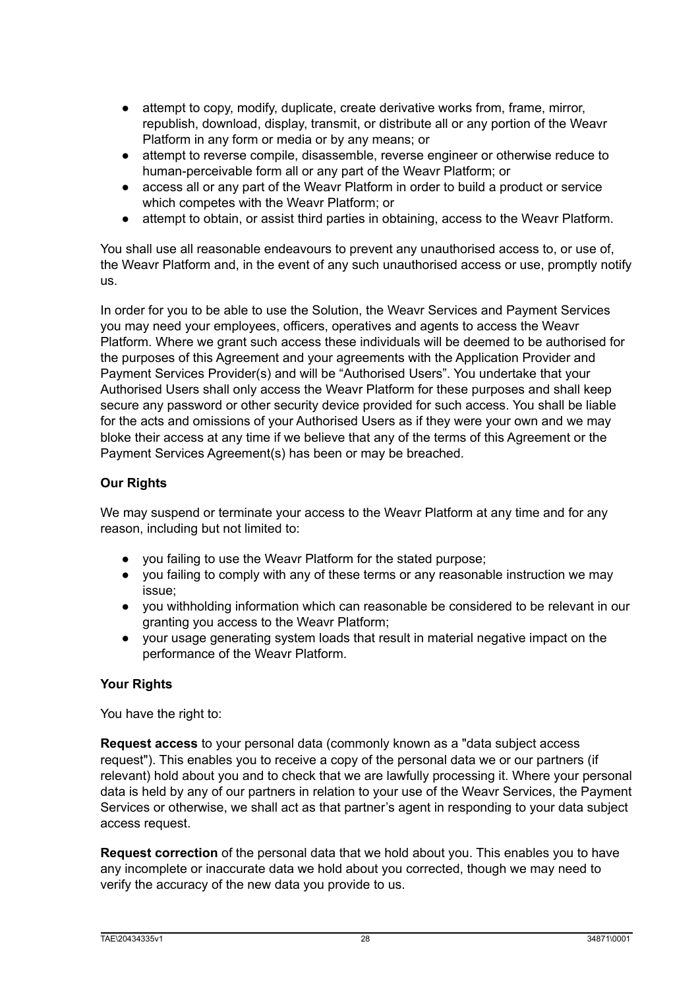- attempt to copy, modify, duplicate, create derivative works from, frame, mirror, republish, download, display, transmit, or distribute all or any portion of the Weavr Platform in any form or media or by any means; or
- attempt to reverse compile, disassemble, reverse engineer or otherwise reduce to human-perceivable form all or any part of the Weavr Platform; or
- access all or any part of the Weavr Platform in order to build a product or service which competes with the Weavr Platform; or
- attempt to obtain, or assist third parties in obtaining, access to the Weavr Platform.

You shall use all reasonable endeavours to prevent any unauthorised access to, or use of, the Weavr Platform and, in the event of any such unauthorised access or use, promptly notify us.

In order for you to be able to use the Solution, the Weavr Services and Payment Services you may need your employees, officers, operatives and agents to access the Weavr Platform. Where we grant such access these individuals will be deemed to be authorised for the purposes of this Agreement and your agreements with the Application Provider and Payment Services Provider(s) and will be "Authorised Users". You undertake that your Authorised Users shall only access the Weavr Platform for these purposes and shall keep secure any password or other security device provided for such access. You shall be liable for the acts and omissions of your Authorised Users as if they were your own and we may bloke their access at any time if we believe that any of the terms of this Agreement or the Payment Services Agreement(s) has been or may be breached.

# **Our Rights**

We may suspend or terminate your access to the Weavr Platform at any time and for any reason, including but not limited to:

- you failing to use the Weavr Platform for the stated purpose;
- you failing to comply with any of these terms or any reasonable instruction we may issue;
- you withholding information which can reasonable be considered to be relevant in our granting you access to the Weavr Platform;
- your usage generating system loads that result in material negative impact on the performance of the Weavr Platform.

### **Your Rights**

You have the right to:

**Request access** to your personal data (commonly known as a "data subject access request"). This enables you to receive a copy of the personal data we or our partners (if relevant) hold about you and to check that we are lawfully processing it. Where your personal data is held by any of our partners in relation to your use of the Weavr Services, the Payment Services or otherwise, we shall act as that partner's agent in responding to your data subject access request.

**Request correction** of the personal data that we hold about you. This enables you to have any incomplete or inaccurate data we hold about you corrected, though we may need to verify the accuracy of the new data you provide to us.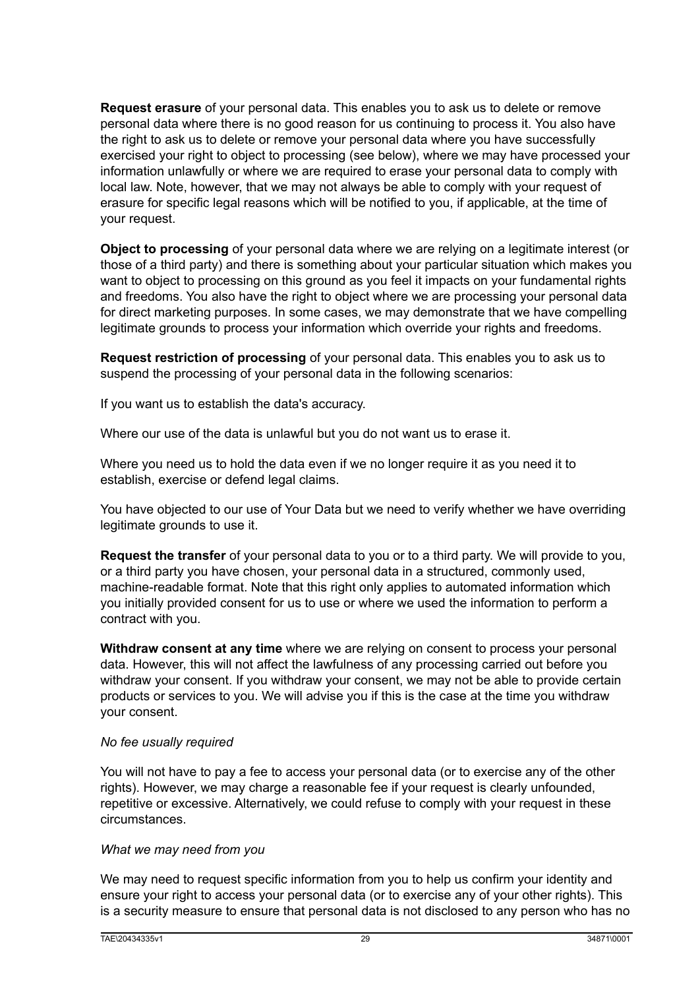**Request erasure** of your personal data. This enables you to ask us to delete or remove personal data where there is no good reason for us continuing to process it. You also have the right to ask us to delete or remove your personal data where you have successfully exercised your right to object to processing (see below), where we may have processed your information unlawfully or where we are required to erase your personal data to comply with local law. Note, however, that we may not always be able to comply with your request of erasure for specific legal reasons which will be notified to you, if applicable, at the time of your request.

**Object to processing** of your personal data where we are relying on a legitimate interest (or those of a third party) and there is something about your particular situation which makes you want to object to processing on this ground as you feel it impacts on your fundamental rights and freedoms. You also have the right to object where we are processing your personal data for direct marketing purposes. In some cases, we may demonstrate that we have compelling legitimate grounds to process your information which override your rights and freedoms.

**Request restriction of processing** of your personal data. This enables you to ask us to suspend the processing of your personal data in the following scenarios:

If you want us to establish the data's accuracy.

Where our use of the data is unlawful but you do not want us to erase it.

Where you need us to hold the data even if we no longer require it as you need it to establish, exercise or defend legal claims.

You have objected to our use of Your Data but we need to verify whether we have overriding legitimate grounds to use it.

**Request the transfer** of your personal data to you or to a third party. We will provide to you, or a third party you have chosen, your personal data in a structured, commonly used, machine-readable format. Note that this right only applies to automated information which you initially provided consent for us to use or where we used the information to perform a contract with you.

**Withdraw consent at any time** where we are relying on consent to process your personal data. However, this will not affect the lawfulness of any processing carried out before you withdraw your consent. If you withdraw your consent, we may not be able to provide certain products or services to you. We will advise you if this is the case at the time you withdraw your consent.

### *No fee usually required*

You will not have to pay a fee to access your personal data (or to exercise any of the other rights). However, we may charge a reasonable fee if your request is clearly unfounded, repetitive or excessive. Alternatively, we could refuse to comply with your request in these circumstances.

*What we may need from you*

We may need to request specific information from you to help us confirm your identity and ensure your right to access your personal data (or to exercise any of your other rights). This is a security measure to ensure that personal data is not disclosed to any person who has no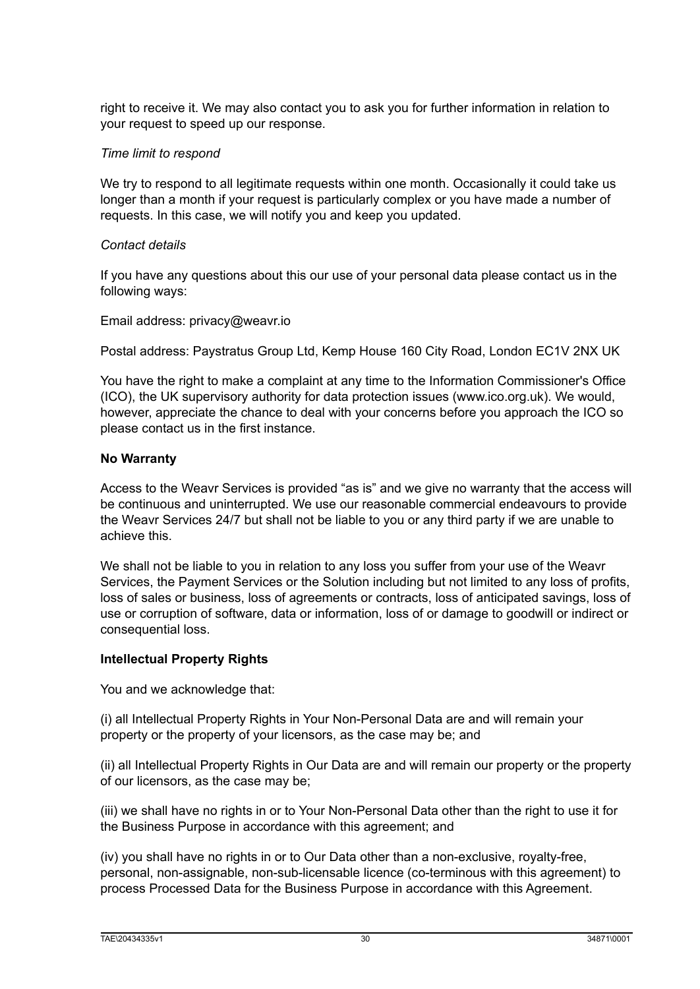right to receive it. We may also contact you to ask you for further information in relation to your request to speed up our response.

### *Time limit to respond*

We try to respond to all legitimate requests within one month. Occasionally it could take us longer than a month if your request is particularly complex or you have made a number of requests. In this case, we will notify you and keep you updated.

### *Contact details*

If you have any questions about this our use of your personal data please contact us in the following ways:

Email address: privacy@weavr.io

Postal address: Paystratus Group Ltd, Kemp House 160 City Road, London EC1V 2NX UK

You have the right to make a complaint at any time to the Information Commissioner's Office (ICO), the UK supervisory authority for data protection issues (www.ico.org.uk). We would, however, appreciate the chance to deal with your concerns before you approach the ICO so please contact us in the first instance.

### **No Warranty**

Access to the Weavr Services is provided "as is" and we give no warranty that the access will be continuous and uninterrupted. We use our reasonable commercial endeavours to provide the Weavr Services 24/7 but shall not be liable to you or any third party if we are unable to achieve this.

We shall not be liable to you in relation to any loss you suffer from your use of the Weavr Services, the Payment Services or the Solution including but not limited to any loss of profits, loss of sales or business, loss of agreements or contracts, loss of anticipated savings, loss of use or corruption of software, data or information, loss of or damage to goodwill or indirect or consequential loss.

### **Intellectual Property Rights**

You and we acknowledge that:

(i) all Intellectual Property Rights in Your Non-Personal Data are and will remain your property or the property of your licensors, as the case may be; and

(ii) all Intellectual Property Rights in Our Data are and will remain our property or the property of our licensors, as the case may be;

(iii) we shall have no rights in or to Your Non-Personal Data other than the right to use it for the Business Purpose in accordance with this agreement; and

(iv) you shall have no rights in or to Our Data other than a non-exclusive, royalty-free, personal, non-assignable, non-sub-licensable licence (co-terminous with this agreement) to process Processed Data for the Business Purpose in accordance with this Agreement.